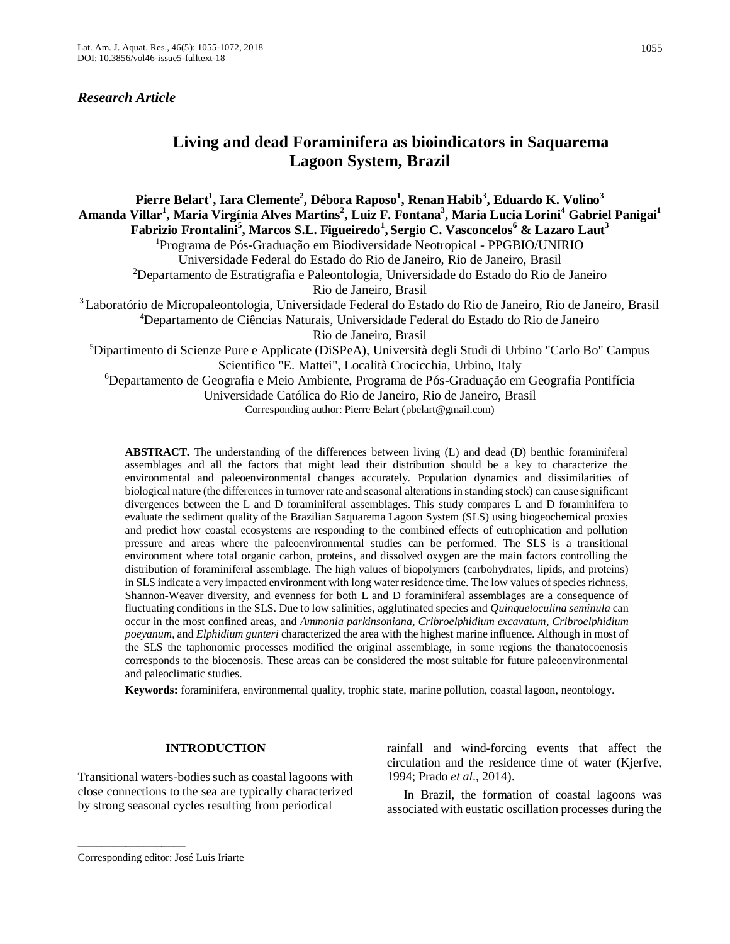## *Research Article*

# **Living and dead Foraminifera as bioindicators in Saquarema Lagoon System, Brazil**

**Pierre Belart<sup>1</sup> , Iara Clemente<sup>2</sup> , Débora Raposo<sup>1</sup> , Renan Habib<sup>3</sup> , Eduardo K. Volino<sup>3</sup> Amanda Villar<sup>1</sup> , Maria Virgínia Alves Martins<sup>2</sup> , Luiz F. Fontana<sup>3</sup> , Maria Lucia Lorini<sup>4</sup> Gabriel Panigai<sup>1</sup> Fabrizio Frontalini<sup>5</sup> , Marcos S.L. Figueiredo<sup>1</sup> , Sergio C. Vasconcelos<sup>6</sup> & Lazaro Laut<sup>3</sup>** <sup>1</sup>Programa de Pós-Graduação em Biodiversidade Neotropical - PPGBIO/UNIRIO Universidade Federal do Estado do Rio de Janeiro, Rio de Janeiro, Brasil <sup>2</sup>Departamento de Estratigrafia e Paleontologia, Universidade do Estado do Rio de Janeiro Rio de Janeiro, Brasil <sup>3</sup>Laboratório de Micropaleontologia, Universidade Federal do Estado do Rio de Janeiro, Rio de Janeiro, Brasil <sup>4</sup>Departamento de Ciências Naturais, Universidade Federal do Estado do Rio de Janeiro Rio de Janeiro, Brasil <sup>5</sup>Dipartimento di Scienze Pure e Applicate (DiSPeA), Università degli Studi di Urbino "Carlo Bo" Campus Scientifico "E. Mattei", Località Crocicchia, Urbino, Italy <sup>6</sup>Departamento de Geografia e Meio Ambiente, Programa de Pós-Graduação em Geografia Pontifícia

Universidade Católica do Rio de Janeiro, Rio de Janeiro, Brasil

Corresponding author: Pierre Belart [\(pbelart@gmail.com\)](mailto:pbelart@gmail.com)

**ABSTRACT.** The understanding of the differences between living (L) and dead (D) benthic foraminiferal assemblages and all the factors that might lead their distribution should be a key to characterize the environmental and paleoenvironmental changes accurately. Population dynamics and dissimilarities of biological nature (the differences in turnover rate and seasonal alterations in standing stock) can cause significant divergences between the L and D foraminiferal assemblages. This study compares L and D foraminifera to evaluate the sediment quality of the Brazilian Saquarema Lagoon System (SLS) using biogeochemical proxies and predict how coastal ecosystems are responding to the combined effects of eutrophication and pollution pressure and areas where the paleoenvironmental studies can be performed. The SLS is a transitional environment where total organic carbon, proteins, and dissolved oxygen are the main factors controlling the distribution of foraminiferal assemblage. The high values of biopolymers (carbohydrates, lipids, and proteins) in SLS indicate a very impacted environment with long water residence time. The low values of species richness, Shannon-Weaver diversity, and evenness for both L and D foraminiferal assemblages are a consequence of fluctuating conditions in the SLS. Due to low salinities, agglutinated species and *Quinqueloculina seminula* can occur in the most confined areas, and *Ammonia parkinsoniana, Cribroelphidium excavatum*, *Cribroelphidium poeyanum*, and *Elphidium gunteri* characterized the area with the highest marine influence. Although in most of the SLS the taphonomic processes modified the original assemblage, in some regions the thanatocoenosis corresponds to the biocenosis. These areas can be considered the most suitable for future paleoenvironmental and paleoclimatic studies.

**Keywords:** foraminifera, environmental quality, trophic state, marine pollution, coastal lagoon, neontology.

## **INTRODUCTION**

Transitional waters-bodies such as coastal lagoons with close connections to the sea are typically characterized by strong seasonal cycles resulting from periodical

rainfall and wind-forcing events that affect the circulation and the residence time of water (Kjerfve, 1994; Prado *et al*., 2014).

In Brazil, the formation of coastal lagoons was associated with eustatic oscillation processes during the

\_\_\_\_\_\_\_\_\_\_\_\_\_\_\_\_\_\_

Corresponding editor: José Luis Iriarte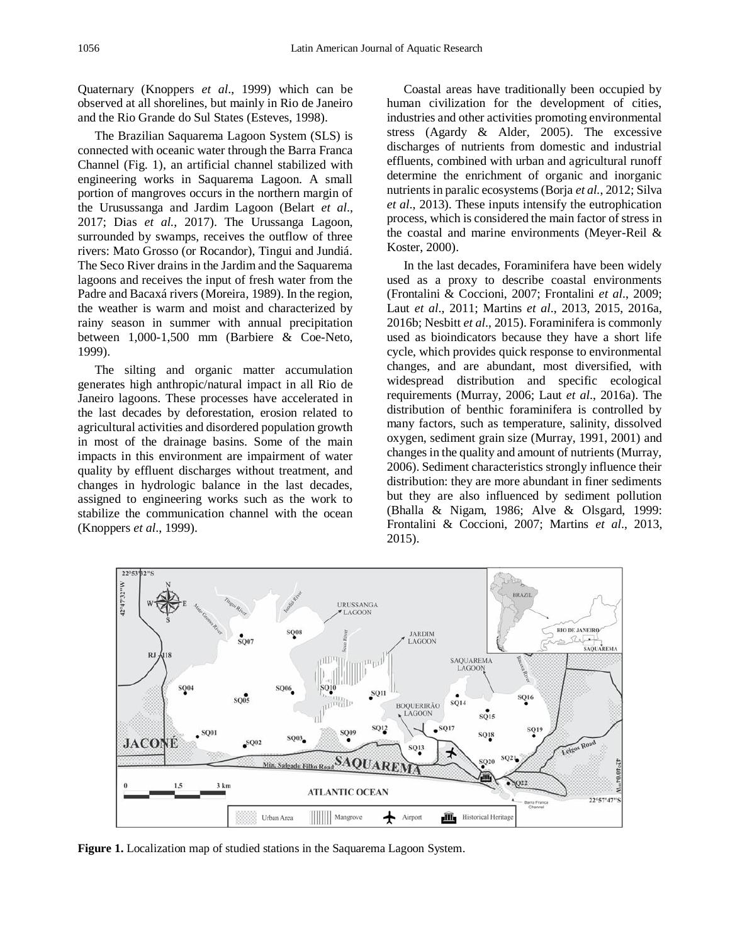Quaternary (Knoppers *et al*., 1999) which can be observed at all shorelines, but mainly in Rio de Janeiro and the Rio Grande do Sul States (Esteves, 1998).

The Brazilian Saquarema Lagoon System (SLS) is connected with oceanic water through the Barra Franca Channel (Fig. 1), an artificial channel stabilized with engineering works in Saquarema Lagoon. A small portion of mangroves occurs in the northern margin of the Urusussanga and Jardim Lagoon (Belart *et al*., 2017; Dias *et al.*, 2017). The Urussanga Lagoon, surrounded by swamps, receives the outflow of three rivers: Mato Grosso (or Rocandor), Tingui and Jundiá. The Seco River drains in the Jardim and the Saquarema lagoons and receives the input of fresh water from the Padre and Bacaxá rivers (Moreira, 1989). In the region, the weather is warm and moist and characterized by rainy season in summer with annual precipitation between 1,000-1,500 mm (Barbiere & Coe-Neto, 1999).

The silting and organic matter accumulation generates high anthropic/natural impact in all Rio de Janeiro lagoons. These processes have accelerated in the last decades by deforestation, erosion related to agricultural activities and disordered population growth in most of the drainage basins. Some of the main impacts in this environment are impairment of water quality by effluent discharges without treatment, and changes in hydrologic balance in the last decades, assigned to engineering works such as the work to stabilize the communication channel with the ocean (Knoppers *et al*., 1999).

Coastal areas have traditionally been occupied by human civilization for the development of cities, industries and other activities promoting environmental stress (Agardy & Alder, 2005). The excessive discharges of nutrients from domestic and industrial effluents, combined with urban and agricultural runoff determine the enrichment of organic and inorganic nutrients in paralic ecosystems (Borja *et al.*, 2012; Silva *et al*., 2013). These inputs intensify the eutrophication process, which is considered the main factor of stress in the coastal and marine environments (Meyer-Reil & Koster, 2000).

In the last decades, Foraminifera have been widely used as a proxy to describe coastal environments (Frontalini & Coccioni, 2007; Frontalini *et al*., 2009; Laut *et al*., 2011; Martins *et al*., 2013, 2015, 2016a, 2016b; Nesbitt *et al*., 2015). Foraminifera is commonly used as bioindicators because they have a short life cycle, which provides quick response to environmental changes, and are abundant, most diversified, with widespread distribution and specific ecological requirements (Murray, 2006; Laut *et al*., 2016a). The distribution of benthic foraminifera is controlled by many factors, such as temperature, salinity, dissolved oxygen, sediment grain size (Murray, 1991, 2001) and changes in the quality and amount of nutrients (Murray, 2006). Sediment characteristics strongly influence their distribution: they are more abundant in finer sediments but they are also influenced by sediment pollution (Bhalla & Nigam, 1986; Alve & Olsgard, 1999: Frontalini & Coccioni, 2007; Martins *et al*., 2013, 2015).



**Figure 1.** Localization map of studied stations in the Saquarema Lagoon System.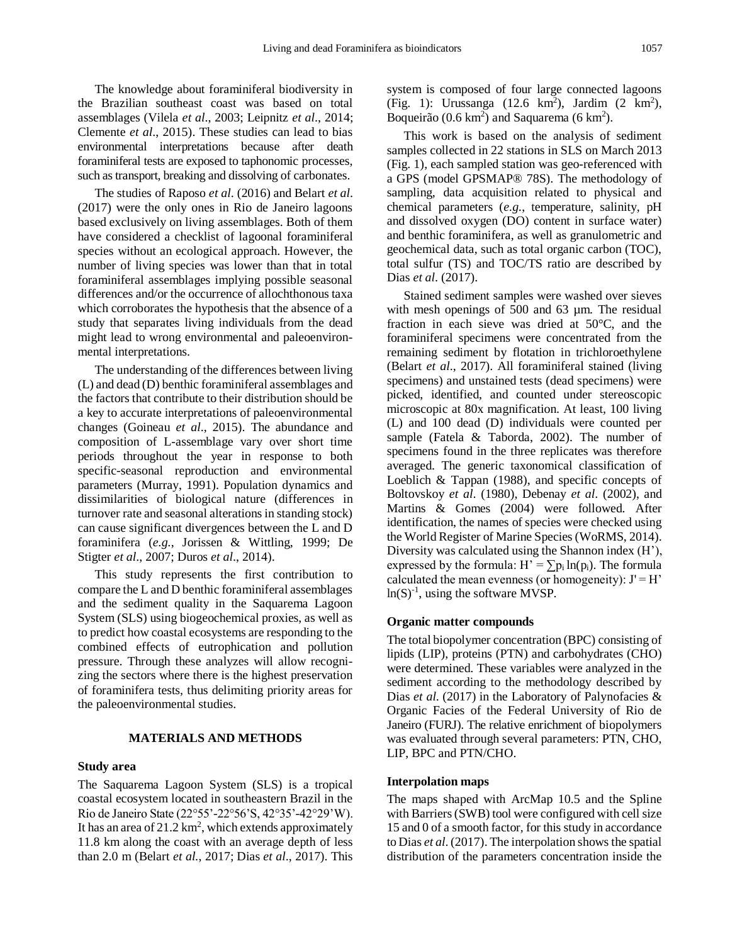The knowledge about foraminiferal biodiversity in the Brazilian southeast coast was based on total assemblages (Vilela *et al*., 2003; Leipnitz *et al*., 2014; Clemente *et al*., 2015). These studies can lead to bias environmental interpretations because after death foraminiferal tests are exposed to taphonomic processes, such as transport, breaking and dissolving of carbonates.

The studies of Raposo *et al*. (2016) and Belart *et al*. (2017) were the only ones in Rio de Janeiro lagoons based exclusively on living assemblages. Both of them have considered a checklist of lagoonal foraminiferal species without an ecological approach. However, the number of living species was lower than that in total foraminiferal assemblages implying possible seasonal differences and/or the occurrence of allochthonous taxa which corroborates the hypothesis that the absence of a study that separates living individuals from the dead might lead to wrong environmental and paleoenvironmental interpretations.

The understanding of the differences between living (L) and dead (D) benthic foraminiferal assemblages and the factors that contribute to their distribution should be a key to accurate interpretations of paleoenvironmental changes (Goineau *et al*., 2015). The abundance and composition of L-assemblage vary over short time periods throughout the year in response to both specific-seasonal reproduction and environmental parameters (Murray, 1991). Population dynamics and dissimilarities of biological nature (differences in turnover rate and seasonal alterations in standing stock) can cause significant divergences between the L and D foraminifera (*e.g.*, Jorissen & Wittling, 1999; De Stigter *et al*., 2007; Duros *et al*., 2014).

This study represents the first contribution to compare the L and D benthic foraminiferal assemblages and the sediment quality in the Saquarema Lagoon System (SLS) using biogeochemical proxies, as well as to predict how coastal ecosystems are responding to the combined effects of eutrophication and pollution pressure. Through these analyzes will allow recognizing the sectors where there is the highest preservation of foraminifera tests, thus delimiting priority areas for the paleoenvironmental studies.

## **MATERIALS AND METHODS**

#### **Study area**

The Saquarema Lagoon System (SLS) is a tropical coastal ecosystem located in southeastern Brazil in the Rio de Janeiro State (22°55'-22°56'S, 42°35'-42°29'W). It has an area of 21.2  $\text{km}^2$ , which extends approximately 11.8 km along the coast with an average depth of less than 2.0 m (Belart *et al.*, 2017; Dias *et al*., 2017). This

system is composed of four large connected lagoons (Fig. 1): Urussanga  $(12.6 \text{ km}^2)$ , Jardim  $(2 \text{ km}^2)$ , Boqueirão (0.6 km<sup>2</sup>) and Saquarema (6 km<sup>2</sup>).

This work is based on the analysis of sediment samples collected in 22 stations in SLS on March 2013 (Fig. 1), each sampled station was geo-referenced with a GPS (model GPSMAP® 78S). The methodology of sampling, data acquisition related to physical and chemical parameters (*e.g.*, temperature, salinity, pH and dissolved oxygen (DO) content in surface water) and benthic foraminifera, as well as granulometric and geochemical data, such as total organic carbon (TOC), total sulfur (TS) and TOC/TS ratio are described by Dias *et al*. (2017).

Stained sediment samples were washed over sieves with mesh openings of 500 and 63 µm. The residual fraction in each sieve was dried at 50°C, and the foraminiferal specimens were concentrated from the remaining sediment by flotation in trichloroethylene (Belart *et al*., 2017). All foraminiferal stained (living specimens) and unstained tests (dead specimens) were picked, identified, and counted under stereoscopic microscopic at 80x magnification. At least, 100 living (L) and 100 dead (D) individuals were counted per sample (Fatela & Taborda, 2002). The number of specimens found in the three replicates was therefore averaged. The generic taxonomical classification of Loeblich & Tappan (1988), and specific concepts of Boltovskoy *et al*. (1980), Debenay *et al*. (2002), and Martins & Gomes (2004) were followed. After identification, the names of species were checked using the World Register of Marine Species (WoRMS, 2014). Diversity was calculated using the Shannon index (H'), expressed by the formula:  $H' = \sum p_i \ln(p_i)$ . The formula calculated the mean evenness (or homogeneity):  $J' = H'$  $ln(S)^{-1}$ , using the software MVSP.

## **Organic matter compounds**

The total biopolymer concentration (BPC) consisting of lipids (LIP), proteins (PTN) and carbohydrates (CHO) were determined. These variables were analyzed in the sediment according to the methodology described by Dias *et al.* (2017) in the Laboratory of Palynofacies & Organic Facies of the Federal University of Rio de Janeiro (FURJ). The relative enrichment of biopolymers was evaluated through several parameters: PTN, CHO, LIP, BPC and PTN/CHO.

#### **Interpolation maps**

The maps shaped with ArcMap 10.5 and the Spline with Barriers (SWB) tool were configured with cell size 15 and 0 of a smooth factor, for this study in accordance to Dias *et al*. (2017). The interpolation shows the spatial distribution of the parameters concentration inside the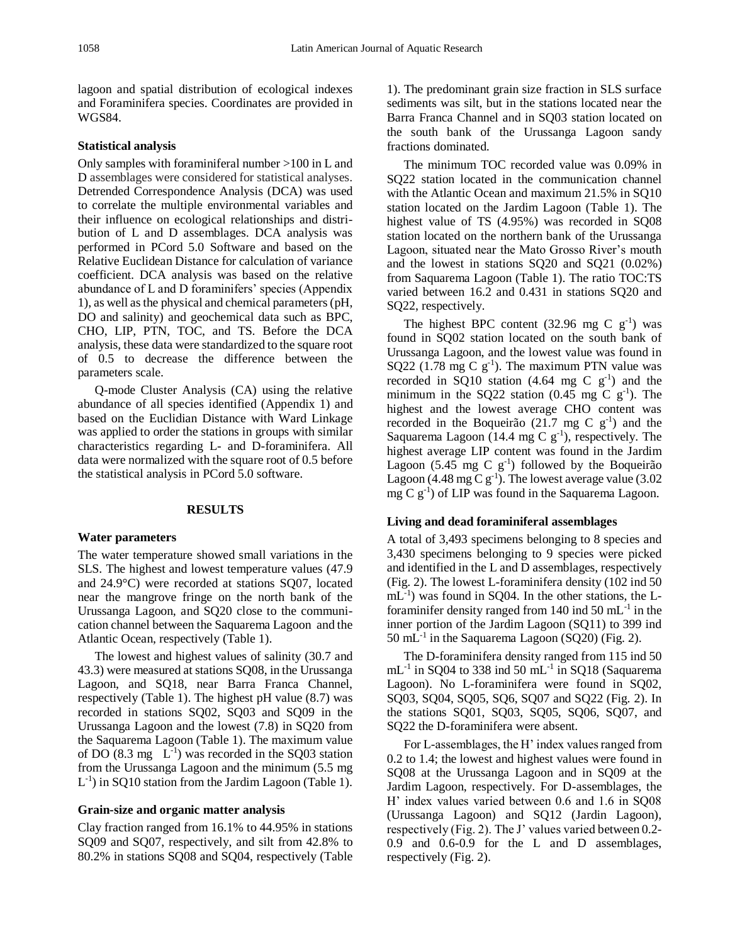lagoon and spatial distribution of ecological indexes and Foraminifera species. Coordinates are provided in WGS84.

## **Statistical analysis**

Only samples with foraminiferal number >100 in L and D assemblages were considered for statistical analyses. Detrended Correspondence Analysis (DCA) was used to correlate the multiple environmental variables and their influence on ecological relationships and distribution of L and D assemblages. DCA analysis was performed in PCord 5.0 Software and based on the Relative Euclidean Distance for calculation of variance coefficient. DCA analysis was based on the relative abundance of L and D foraminifers' species (Appendix 1), as well as the physical and chemical parameters (pH, DO and salinity) and geochemical data such as BPC, CHO, LIP, PTN, TOC, and TS. Before the DCA analysis, these data were standardized to the square root of 0.5 to decrease the difference between the parameters scale.

Q-mode Cluster Analysis (CA) using the relative abundance of all species identified (Appendix 1) and based on the Euclidian Distance with Ward Linkage was applied to order the stations in groups with similar characteristics regarding L- and D-foraminifera. All data were normalized with the square root of 0.5 before the statistical analysis in PCord 5.0 software.

## **RESULTS**

#### **Water parameters**

The water temperature showed small variations in the SLS. The highest and lowest temperature values (47.9 and 24.9°C) were recorded at stations SQ07, located near the mangrove fringe on the north bank of the Urussanga Lagoon, and SQ20 close to the communication channel between the Saquarema Lagoon and the Atlantic Ocean, respectively (Table 1).

The lowest and highest values of salinity (30.7 and 43.3) were measured at stations SQ08, in the Urussanga Lagoon, and SQ18, near Barra Franca Channel, respectively (Table 1). The highest pH value (8.7) was recorded in stations SQ02, SQ03 and SQ09 in the Urussanga Lagoon and the lowest (7.8) in SQ20 from the Saquarema Lagoon (Table 1). The maximum value of DO  $(8.3 \text{ mg } L^{-1})$  was recorded in the SQ03 station from the Urussanga Lagoon and the minimum (5.5 mg  $L^{-1}$ ) in SQ10 station from the Jardim Lagoon (Table 1).

## **Grain-size and organic matter analysis**

Clay fraction ranged from 16.1% to 44.95% in stations SQ09 and SQ07, respectively, and silt from 42.8% to 80.2% in stations SQ08 and SQ04, respectively (Table

1). The predominant grain size fraction in SLS surface sediments was silt, but in the stations located near the Barra Franca Channel and in SQ03 station located on the south bank of the Urussanga Lagoon sandy fractions dominated.

The minimum TOC recorded value was 0.09% in SQ22 station located in the communication channel with the Atlantic Ocean and maximum 21.5% in SQ10 station located on the Jardim Lagoon (Table 1). The highest value of TS (4.95%) was recorded in SQ08 station located on the northern bank of the Urussanga Lagoon, situated near the Mato Grosso River's mouth and the lowest in stations SQ20 and SQ21 (0.02%) from Saquarema Lagoon (Table 1). The ratio TOC:TS varied between 16.2 and 0.431 in stations SQ20 and SQ22, respectively.

The highest BPC content  $(32.96 \text{ mg } C \text{ g}^{-1})$  was found in SQ02 station located on the south bank of Urussanga Lagoon, and the lowest value was found in  $SQ22$  (1.78 mg C  $g^{-1}$ ). The maximum PTN value was recorded in SQ10 station  $(4.64 \text{ mg } C \text{ g}^{-1})$  and the minimum in the SQ22 station (0.45 mg  $\overline{C}$  g<sup>-1</sup>). The highest and the lowest average CHO content was recorded in the Boqueirão  $(21.7 \text{ mg } C \text{ g}^{-1})$  and the Saquarema Lagoon  $(14.4 \text{ mg } C \text{ g}^{-1})$ , respectively. The highest average LIP content was found in the Jardim Lagoon (5.45 mg C  $g^{-1}$ ) followed by the Boqueirão Lagoon (4.48 mg  $C$  g<sup>-1</sup>). The lowest average value (3.02  $mg C g^{-1}$ ) of LIP was found in the Saquarema Lagoon.

## **Living and dead foraminiferal assemblages**

A total of 3,493 specimens belonging to 8 species and 3,430 specimens belonging to 9 species were picked and identified in the L and D assemblages, respectively (Fig. 2). The lowest L-foraminifera density (102 ind 50 mL<sup>-1</sup>) was found in SQ04. In the other stations, the Lforaminifer density ranged from 140 ind 50  $mL^{-1}$  in the inner portion of the Jardim Lagoon (SQ11) to 399 ind 50 m $\mathbf{L}^{-1}$  in the Saquarema Lagoon (SQ20) (Fig. 2).

The D-foraminifera density ranged from 115 ind 50  $mL^{-1}$  in SQ04 to 338 ind 50 mL<sup>-1</sup> in SQ18 (Saquarema Lagoon). No L-foraminifera were found in SQ02, SQ03, SQ04, SQ05, SQ6, SQ07 and SQ22 (Fig. 2). In the stations SQ01, SQ03, SQ05, SQ06, SQ07, and SQ22 the D-foraminifera were absent.

For L-assemblages, the H' index values ranged from 0.2 to 1.4; the lowest and highest values were found in SQ08 at the Urussanga Lagoon and in SQ09 at the Jardim Lagoon, respectively. For D-assemblages, the H' index values varied between 0.6 and 1.6 in SQ08 (Urussanga Lagoon) and SQ12 (Jardin Lagoon), respectively (Fig. 2). The J' values varied between 0.2- 0.9 and 0.6-0.9 for the L and D assemblages, respectively (Fig. 2).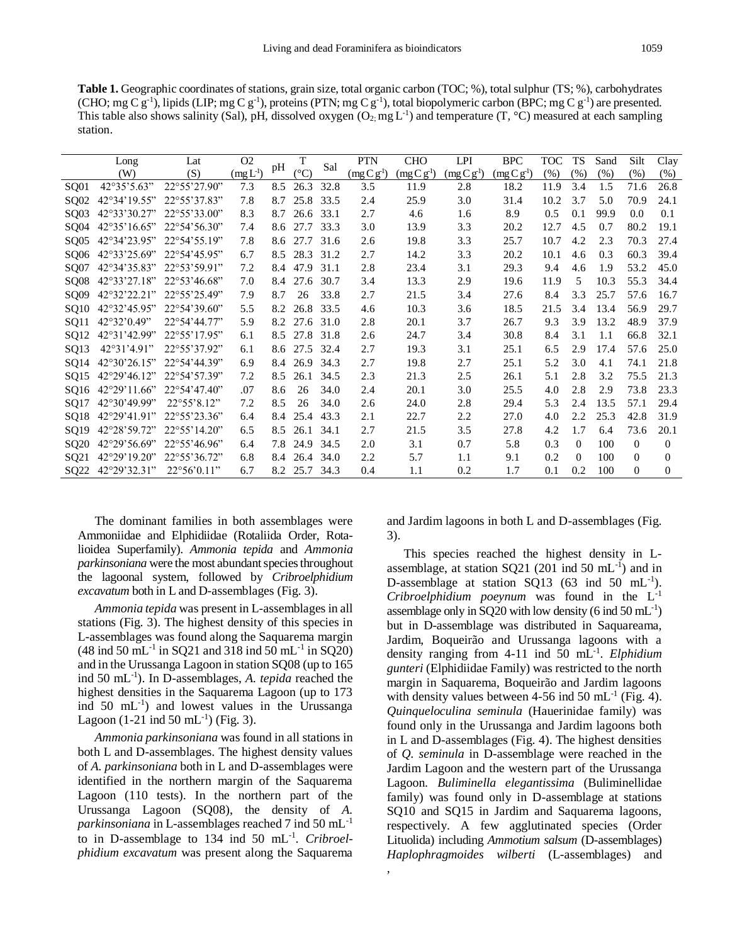**Table 1.** Geographic coordinates of stations, grain size, total organic carbon (TOC; %), total sulphur (TS; %), carbohydrates (CHO; mg C  $g^{-1}$ ), lipids (LIP; mg C  $g^{-1}$ ), proteins (PTN; mg C  $g^{-1}$ ), total biopolymeric carbon (BPC; mg C  $g^{-1}$ ) are presented. This table also shows salinity (Sal), pH, dissolved oxygen  $(O_2, mg L^{-1})$  and temperature  $(T, {}^{\circ}C)$  measured at each sampling station.

|                  | Long                          | Lat                         | O <sub>2</sub>       |     | T               | Sal  | <b>PTN</b>   | <b>CHO</b>   | <b>LPI</b>   | <b>BPC</b>   | <b>TOC</b> | <b>TS</b>      | Sand | Silt     | Clay           |
|------------------|-------------------------------|-----------------------------|----------------------|-----|-----------------|------|--------------|--------------|--------------|--------------|------------|----------------|------|----------|----------------|
|                  | (W)                           | (S)                         | (mg L <sup>1</sup> ) | pH  | $({}^{\circ}C)$ |      | $(mg C g-1)$ | $(mg C g-1)$ | $(mg C g-1)$ | $(mg C g-1)$ | (% )       | (% )           | (% ) | (% )     | (%)            |
| SQ01             | 42°35'5.63"                   | 22°55'27.90"                | 7.3                  | 8.5 | 26.3            | 32.8 | 3.5          | 11.9         | 2.8          | 18.2         | 11.9       | 3.4            | 1.5  | 71.6     | 26.8           |
| SQ02             | 42°34'19.55"                  | 22°55'37.83"                | 7.8                  | 8.7 | 25.8            | 33.5 | 2.4          | 25.9         | 3.0          | 31.4         | 10.2       | 3.7            | 5.0  | 70.9     | 24.1           |
| SQ03             | 42°33'30.27"                  | 22°55'33.00"                | 8.3                  | 8.7 | 26.6            | 33.1 | 2.7          | 4.6          | 1.6          | 8.9          | 0.5        | 0.1            | 99.9 | 0.0      | 0.1            |
| SQ04             | $42^{\circ}35'16.65"$         | 22°54'56.30"                | 7.4                  |     | 8.6 27.7        | 33.3 | 3.0          | 13.9         | 3.3          | 20.2         | 12.7       | 4.5            | 0.7  | 80.2     | 19.1           |
| SQ05             | 42°34'23.95"                  | $22^{\circ}54'55.19"$       | 7.8                  | 8.6 | 27.7            | 31.6 | 2.6          | 19.8         | 3.3          | 25.7         | 10.7       | 4.2            | 2.3  | 70.3     | 27.4           |
| SO <sub>06</sub> | 42°33'25.69"                  | $22^{\circ}54'45.95"$       | 6.7                  | 8.5 | 28.3            | 31.2 | 2.7          | 14.2         | 3.3          | 20.2         | 10.1       | 4.6            | 0.3  | 60.3     | 39.4           |
| SQ07             | 42°34'35.83"                  | 22°53'59.91"                | 7.2                  | 8.4 | 47.9            | 31.1 | 2.8          | 23.4         | 3.1          | 29.3         | 9.4        | 4.6            | 1.9  | 53.2     | 45.0           |
| SO08             | 42°33'27.18"                  | 22°53'46.68"                | 7.0                  | 8.4 | 27.6            | 30.7 | 3.4          | 13.3         | 2.9          | 19.6         | 11.9       | 5              | 10.3 | 55.3     | 34.4           |
| SO <sub>09</sub> | 42°32'22.21"                  | 22°55'25.49"                | 7.9                  | 8.7 | 26              | 33.8 | 2.7          | 21.5         | 3.4          | 27.6         | 8.4        | 3.3            | 25.7 | 57.6     | 16.7           |
| SQ <sub>10</sub> | 42°32'45.95"                  | 22°54'39.60"                | 5.5                  | 8.2 | 26.8            | 33.5 | 4.6          | 10.3         | 3.6          | 18.5         | 21.5       | 3.4            | 13.4 | 56.9     | 29.7           |
| SQ11             | 42°32'0.49"                   | $22^{\circ}54'44.77"$       | 5.9                  | 8.2 | 27.6            | 31.0 | 2.8          | 20.1         | 3.7          | 26.7         | 9.3        | 3.9            | 13.2 | 48.9     | 37.9           |
| SQ12             | 42°31'42.99"                  | $22^{\circ}55'17.95"$       | 6.1                  | 8.5 | 27.8            | 31.8 | 2.6          | 24.7         | 3.4          | 30.8         | 8.4        | 3.1            | 1.1  | 66.8     | 32.1           |
| SQ13             | 42°31'4.91"                   | $22^{\circ}55'37.92"$       | 6.1                  | 8.6 | 27.5            | 32.4 | 2.7          | 19.3         | 3.1          | 25.1         | 6.5        | 2.9            | 17.4 | 57.6     | 25.0           |
| SQ <sub>14</sub> | $42^{\circ}30^{\circ}26.15$ " | $22^{\circ}54'44.39"$       | 6.9                  | 8.4 | 26.9            | 34.3 | 2.7          | 19.8         | 2.7          | 25.1         | 5.2        | 3.0            | 4.1  | 74.1     | 21.8           |
| SO15             | 42°29'46.12"                  | 22°54'57.39"                | 7.2                  | 8.5 | 26.1            | 34.5 | 2.3          | 21.3         | 2.5          | 26.1         | 5.1        | 2.8            | 3.2  | 75.5     | 21.3           |
| SQ16             | 42°29'11.66"                  | $22^{\circ}54'47.40"$       | .07                  | 8.6 | 26              | 34.0 | 2.4          | 20.1         | 3.0          | 25.5         | 4.0        | 2.8            | 2.9  | 73.8     | 23.3           |
| SQ17             | 42°30'49.99"                  | 22°55'8.12"                 | 7.2                  | 8.5 | 26              | 34.0 | 2.6          | 24.0         | 2.8          | 29.4         | 5.3        | 2.4            | 13.5 | 57.1     | 29.4           |
| SO18             | 42°29'41.91"                  | $22^{\circ}55'23.36"$       | 6.4                  | 8.4 | 25.4            | 43.3 | 2.1          | 22.7         | 2.2          | 27.0         | 4.0        | 2.2            | 25.3 | 42.8     | 31.9           |
| SO <sub>19</sub> | 42°28'59.72"                  | 22°55'14.20"                | 6.5                  | 8.5 | 26.1            | 34.1 | 2.7          | 21.5         | 3.5          | 27.8         | 4.2        | 1.7            | 6.4  | 73.6     | 20.1           |
| SQ20             | 42°29'56.69"                  | 22°55'46.96"                | 6.4                  | 7.8 | 24.9            | 34.5 | 2.0          | 3.1          | 0.7          | 5.8          | 0.3        | $\theta$       | 100  | $\Omega$ | $\theta$       |
| SQ21             | $42^{\circ}29'19.20"$         | 22°55'36.72"                | 6.8                  | 8.4 | 26.4            | 34.0 | 2.2          | 5.7          | 1.1          | 9.1          | 0.2        | $\overline{0}$ | 100  | $\Omega$ | $\overline{0}$ |
| SQ22             | 42°29'32.31"                  | $22^{\circ}56^{\circ}0.11"$ | 6.7                  | 8.2 | 25.7            | 34.3 | 0.4          | 1.1          | 0.2          | 1.7          | 0.1        | 0.2            | 100  | $\theta$ | $\overline{0}$ |

*,*

The dominant families in both assemblages were Ammoniidae and Elphidiidae (Rotaliida Order, Rotalioidea Superfamily). *Ammonia tepida* and *Ammonia parkinsoniana* were the most abundant species throughout the lagoonal system, followed by *Cribroelphidium excavatum* both in L and D-assemblages (Fig. 3).

*Ammonia tepida* was present in L-assemblages in all stations (Fig. 3). The highest density of this species in L-assemblages was found along the Saquarema margin  $(48 \text{ ind } 50 \text{ mL}^{-1} \text{ in } SQ21 \text{ and } 318 \text{ ind } 50 \text{ mL}^{-1} \text{ in } SQ20)$ and in the Urussanga Lagoon in station SQ08 (up to 165 ind 50 mL-1 ). In D-assemblages, *A. tepida* reached the highest densities in the Saquarema Lagoon (up to 173 ind 50 mL-1 ) and lowest values in the Urussanga Lagoon  $(1-21 \text{ ind } 50 \text{ mL}^{-1})$  (Fig. 3).

*Ammonia parkinsoniana* was found in all stations in both L and D-assemblages. The highest density values of *A. parkinsoniana* both in L and D-assemblages were identified in the northern margin of the Saquarema Lagoon (110 tests). In the northern part of the Urussanga Lagoon (SQ08), the density of *A. parkinsoniana* in L-assemblages reached 7 ind 50 mL-1 to in D-assemblage to 134 ind 50 mL-1 . *Cribroelphidium excavatum* was present along the Saquarema

and Jardim lagoons in both L and D-assemblages (Fig. 3).

This species reached the highest density in Lassemblage, at station SQ21 (201 ind 50 mL $^{-1}$ ) and in D-assemblage at station SQ13 (63 ind 50 mL $^{-1}$ ). *Cribroelphidium poeynum* was found in the L-1 assemblage only in SQ20 with low density  $(6 \text{ ind } 50 \text{ mL}^{-1})$ but in D-assemblage was distributed in Saquareama, Jardim, Boqueirão and Urussanga lagoons with a density ranging from 4-11 ind 50 mL-1 . *Elphidium gunteri* (Elphidiidae Family) was restricted to the north margin in Saquarema, Boqueirão and Jardim lagoons with density values between  $4-56$  ind  $50$  mL<sup>-1</sup> (Fig. 4). *Quinqueloculina seminula* (Hauerinidae family) was found only in the Urussanga and Jardim lagoons both in L and D-assemblages (Fig. 4). The highest densities of *Q. seminula* in D-assemblage were reached in the Jardim Lagoon and the western part of the Urussanga Lagoon. *Buliminella elegantissima* (Buliminellidae family) was found only in D-assemblage at stations SQ10 and SQ15 in Jardim and Saquarema lagoons, respectively. A few agglutinated species (Order Lituolida) including *Ammotium salsum* (D-assemblages) *Haplophragmoides wilberti* (L-assemblages) and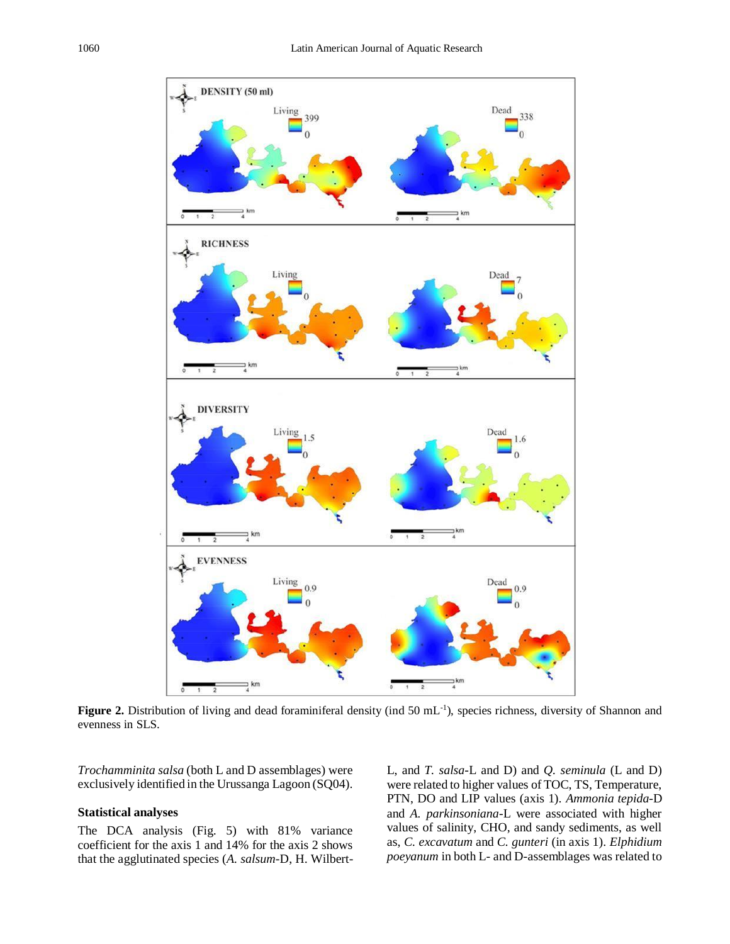

Figure 2. Distribution of living and dead foraminiferal density (ind 50 mL<sup>-1</sup>), species richness, diversity of Shannon and evenness in SLS.

*Trochamminita salsa* (both L and D assemblages) were exclusively identified in the Urussanga Lagoon (SQ04).

## **Statistical analyses**

The DCA analysis (Fig. 5) with 81% variance coefficient for the axis 1 and 14% for the axis 2 shows that the agglutinated species (*A. salsum-*D, H. Wilbert*-* L, and *T. salsa*-L and D) and *Q. seminula* (L and D) were related to higher values of TOC, TS, Temperature, PTN, DO and LIP values (axis 1). *Ammonia tepida-*D and *A. parkinsoniana-*L were associated with higher values of salinity, CHO, and sandy sediments, as well as, *C. excavatum* and *C. gunteri* (in axis 1). *Elphidium poeyanum* in both L- and D-assemblages was related to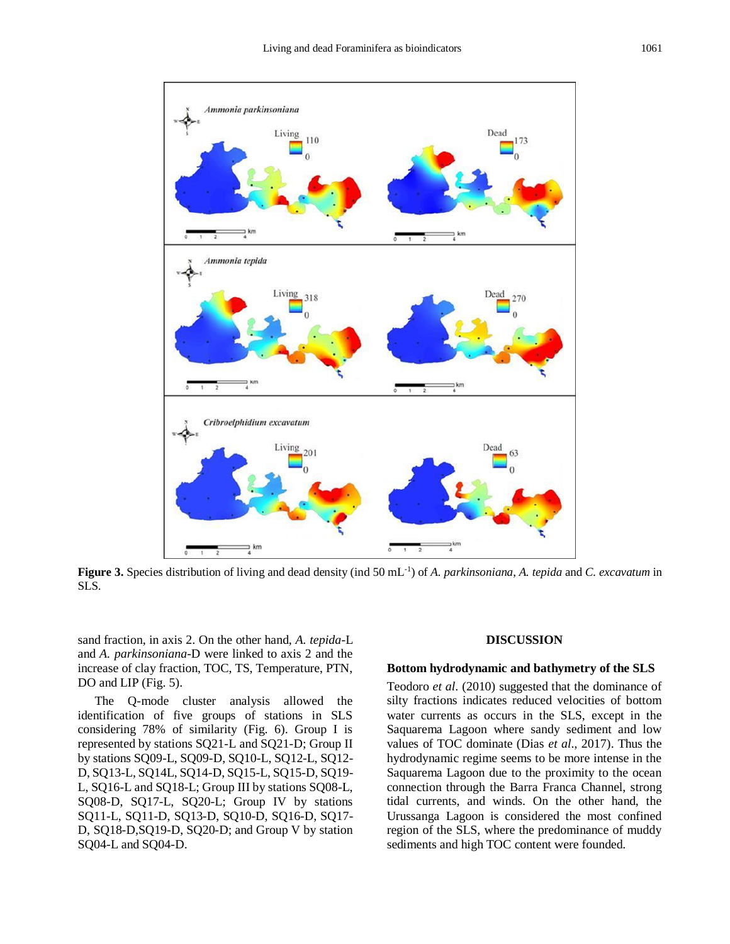

Figure 3. Species distribution of living and dead density (ind 50 mL<sup>-1</sup>) of *A. parkinsoniana*, *A. tepida* and *C. excavatum* in SLS.

sand fraction, in axis 2. On the other hand, *A. tepida*-L and *A. parkinsoniana*-D were linked to axis 2 and the increase of clay fraction, TOC, TS, Temperature, PTN, DO and LIP (Fig. 5).

The Q-mode cluster analysis allowed the identification of five groups of stations in SLS considering 78% of similarity (Fig. 6). Group I is represented by stations SQ21-L and SQ21-D; Group II by stations SQ09-L, SQ09-D, SQ10-L, SQ12-L, SQ12- D, SQ13-L, SQ14L, SQ14-D, SQ15-L, SQ15-D, SQ19- L, SQ16-L and SQ18-L; Group III by stations SQ08-L, SQ08-D, SQ17-L, SQ20-L; Group IV by stations SQ11-L, SQ11-D, SQ13-D, SQ10-D, SQ16-D, SQ17- D, SQ18-D,SQ19-D, SQ20-D; and Group V by station SQ04-L and SQ04-D.

#### **DISCUSSION**

## **Bottom hydrodynamic and bathymetry of the SLS**

Teodoro *et al*. (2010) suggested that the dominance of silty fractions indicates reduced velocities of bottom water currents as occurs in the SLS, except in the Saquarema Lagoon where sandy sediment and low values of TOC dominate (Dias *et al*., 2017). Thus the hydrodynamic regime seems to be more intense in the Saquarema Lagoon due to the proximity to the ocean connection through the Barra Franca Channel, strong tidal currents, and winds. On the other hand, the Urussanga Lagoon is considered the most confined region of the SLS, where the predominance of muddy sediments and high TOC content were founded.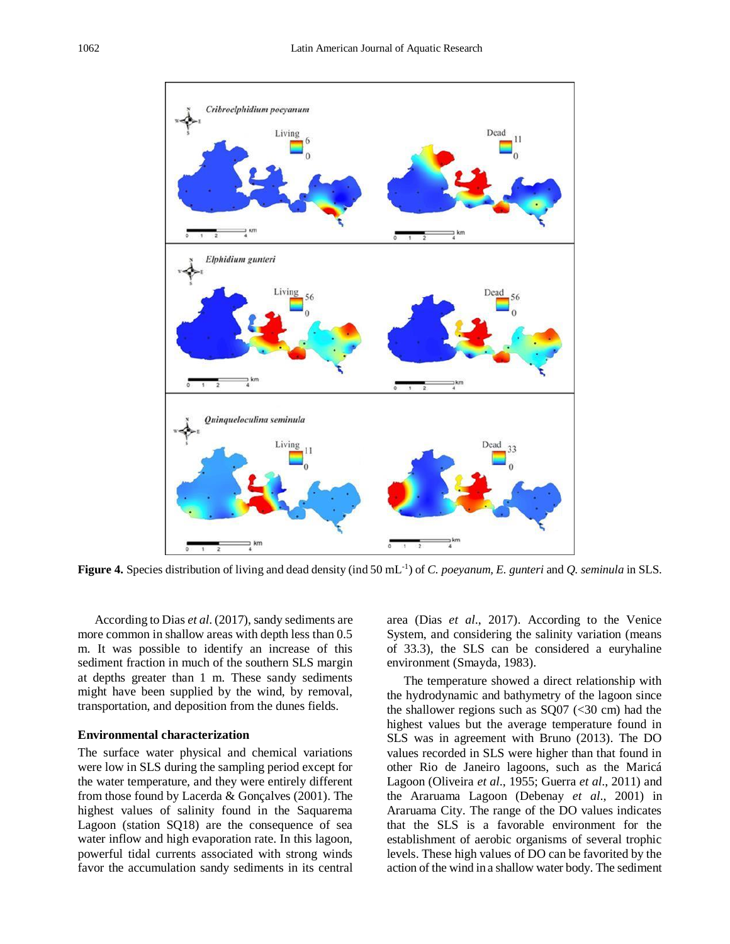

**Figure 4.** Species distribution of living and dead density (ind 50 mL<sup>-1</sup>) of *C. poeyanum, E. gunteri* and *Q. seminula* in SLS.

According to Dias *et al*. (2017), sandy sediments are more common in shallow areas with depth less than 0.5 m. It was possible to identify an increase of this sediment fraction in much of the southern SLS margin at depths greater than 1 m. These sandy sediments might have been supplied by the wind, by removal, transportation, and deposition from the dunes fields.

### **Environmental characterization**

The surface water physical and chemical variations were low in SLS during the sampling period except for the water temperature, and they were entirely different from those found by Lacerda & Gonçalves (2001). The highest values of salinity found in the Saquarema Lagoon (station SQ18) are the consequence of sea water inflow and high evaporation rate. In this lagoon, powerful tidal currents associated with strong winds favor the accumulation sandy sediments in its central area (Dias *et al*., 2017). According to the Venice System, and considering the salinity variation (means of 33.3), the SLS can be considered a euryhaline environment (Smayda, 1983).

The temperature showed a direct relationship with the hydrodynamic and bathymetry of the lagoon since the shallower regions such as  $SQ07$  (<30 cm) had the highest values but the average temperature found in SLS was in agreement with Bruno (2013). The DO values recorded in SLS were higher than that found in other Rio de Janeiro lagoons, such as the Maricá Lagoon (Oliveira *et al*., 1955; Guerra *et al*., 2011) and the Araruama Lagoon (Debenay *et al*., 2001) in Araruama City. The range of the DO values indicates that the SLS is a favorable environment for the establishment of aerobic organisms of several trophic levels. These high values of DO can be favorited by the action of the wind in a shallow water body. The sediment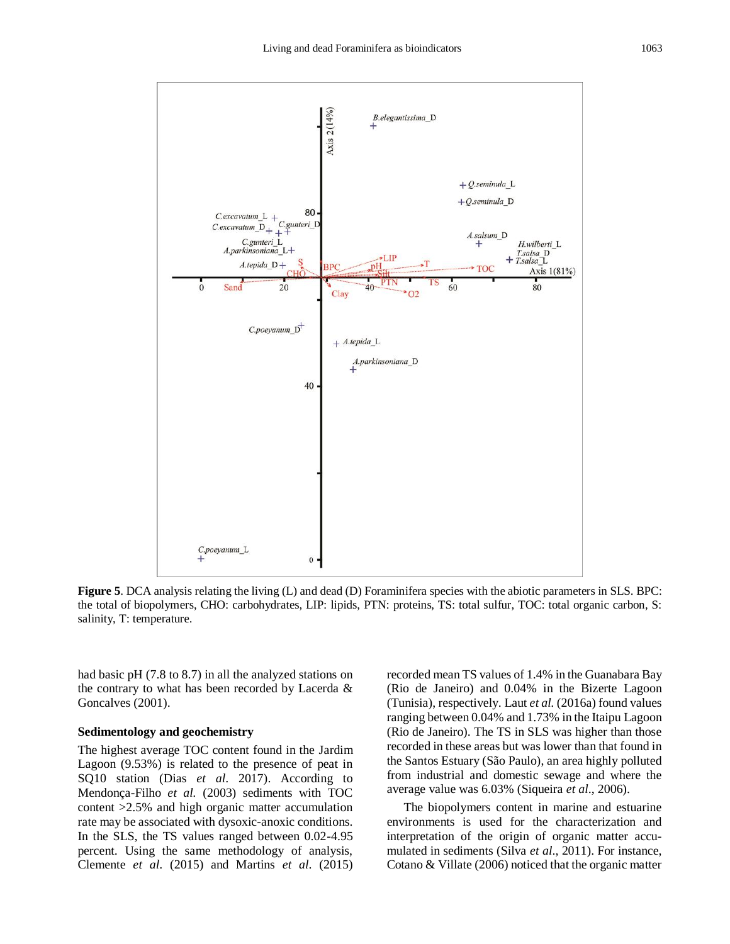

**Figure 5**. DCA analysis relating the living (L) and dead (D) Foraminifera species with the abiotic parameters in SLS. BPC: the total of biopolymers, CHO: carbohydrates, LIP: lipids, PTN: proteins, TS: total sulfur, TOC: total organic carbon, S: salinity, T: temperature.

had basic pH (7.8 to 8.7) in all the analyzed stations on the contrary to what has been recorded by Lacerda & Goncalves (2001).

#### **Sedimentology and geochemistry**

The highest average TOC content found in the Jardim Lagoon (9.53%) is related to the presence of peat in SQ10 station (Dias *et al*. 2017). According to Mendonça-Filho *et al.* (2003) sediments with TOC content >2.5% and high organic matter accumulation rate may be associated with dysoxic-anoxic conditions. In the SLS, the TS values ranged between 0.02-4.95 percent. Using the same methodology of analysis, Clemente *et al*. (2015) and Martins *et al*. (2015) recorded mean TS values of 1.4% in the Guanabara Bay (Rio de Janeiro) and 0.04% in the Bizerte Lagoon (Tunisia), respectively. Laut *et al.* (2016a) found values ranging between 0.04% and 1.73% in the Itaipu Lagoon (Rio de Janeiro). The TS in SLS was higher than those recorded in these areas but was lower than that found in the Santos Estuary (São Paulo), an area highly polluted from industrial and domestic sewage and where the average value was 6.03% (Siqueira *et al*., 2006).

The biopolymers content in marine and estuarine environments is used for the characterization and interpretation of the origin of organic matter accumulated in sediments (Silva *et al*., 2011). For instance, Cotano & Villate (2006) noticed that the organic matter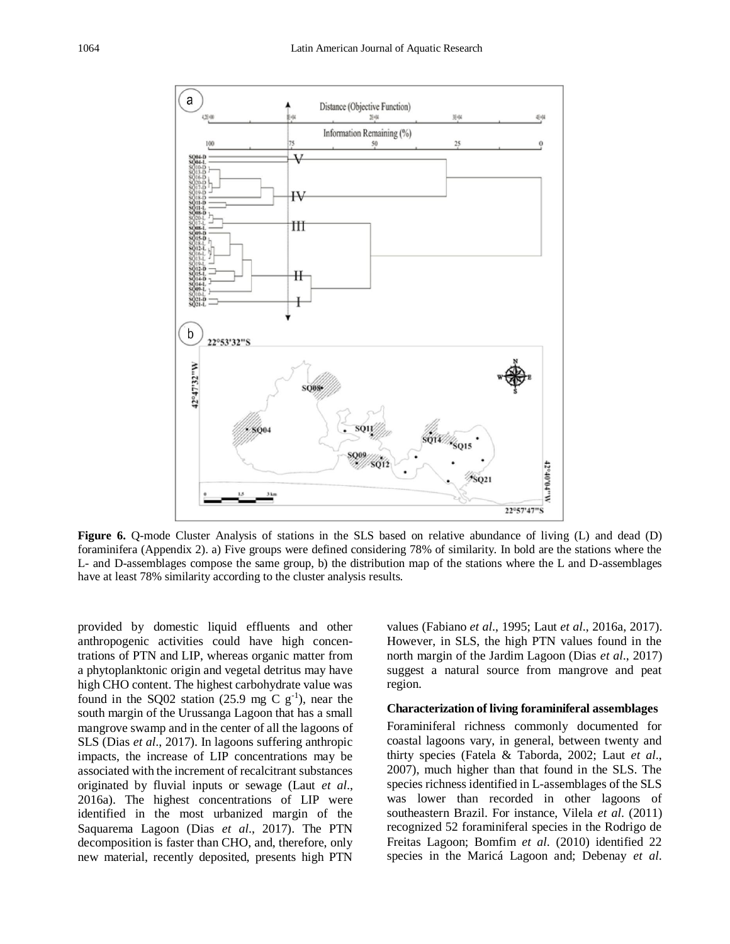

**Figure 6.** Q-mode Cluster Analysis of stations in the SLS based on relative abundance of living (L) and dead (D) foraminifera (Appendix 2). a) Five groups were defined considering 78% of similarity. In bold are the stations where the L- and D-assemblages compose the same group, b) the distribution map of the stations where the L and D-assemblages have at least 78% similarity according to the cluster analysis results.

provided by domestic liquid effluents and other anthropogenic activities could have high concentrations of PTN and LIP, whereas organic matter from a phytoplanktonic origin and vegetal detritus may have high CHO content. The highest carbohydrate value was found in the SQ02 station (25.9 mg C  $g^{-1}$ ), near the south margin of the Urussanga Lagoon that has a small mangrove swamp and in the center of all the lagoons of SLS (Dias *et al*., 2017). In lagoons suffering anthropic impacts, the increase of LIP concentrations may be associated with the increment of recalcitrant substances originated by fluvial inputs or sewage (Laut *et al*., 2016a). The highest concentrations of LIP were identified in the most urbanized margin of the Saquarema Lagoon (Dias *et al*., 2017). The PTN decomposition is faster than CHO, and, therefore, only new material, recently deposited, presents high PTN

values (Fabiano *et al*., 1995; Laut *et al*., 2016a, 2017). However, in SLS, the high PTN values found in the north margin of the Jardim Lagoon (Dias *et al*., 2017) suggest a natural source from mangrove and peat region.

#### **Characterization of living foraminiferal assemblages**

Foraminiferal richness commonly documented for coastal lagoons vary, in general, between twenty and thirty species (Fatela & Taborda, 2002; Laut *et al*., 2007), much higher than that found in the SLS. The species richness identified in L-assemblages of the SLS was lower than recorded in other lagoons of southeastern Brazil. For instance, Vilela *et al*. (2011) recognized 52 foraminiferal species in the Rodrigo de Freitas Lagoon; Bomfim *et al*. (2010) identified 22 species in the Maricá Lagoon and; Debenay *et al*.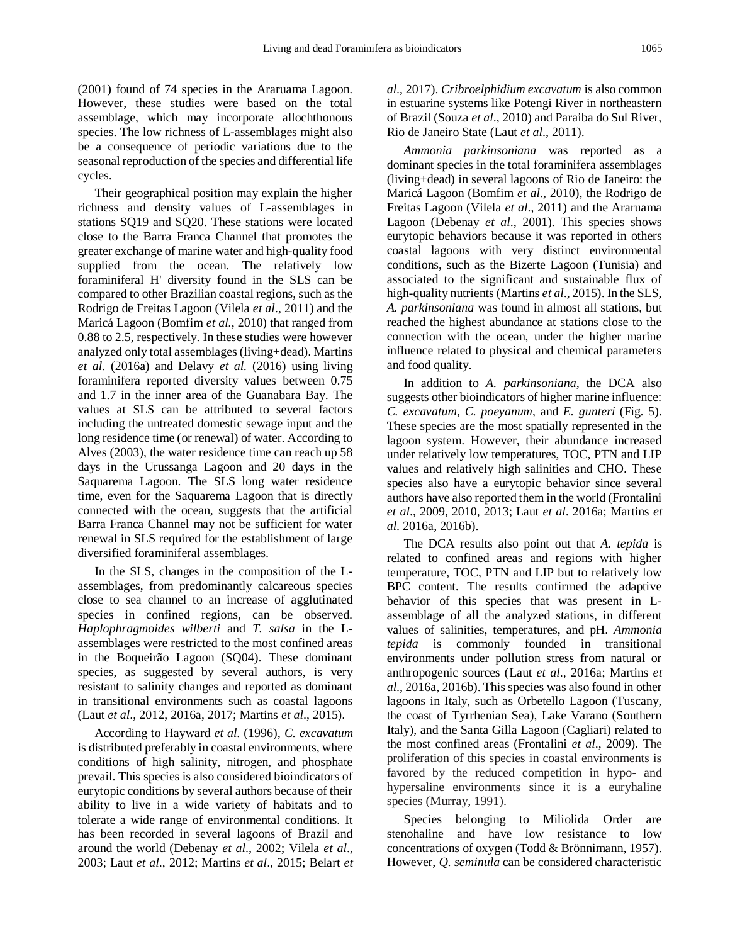(2001) found of 74 species in the Araruama Lagoon. However, these studies were based on the total assemblage, which may incorporate allochthonous species. The low richness of L-assemblages might also be a consequence of periodic variations due to the seasonal reproduction of the species and differential life cycles.

Their geographical position may explain the higher richness and density values of L-assemblages in stations SQ19 and SQ20. These stations were located close to the Barra Franca Channel that promotes the greater exchange of marine water and high-quality food supplied from the ocean. The relatively low foraminiferal H' diversity found in the SLS can be compared to other Brazilian coastal regions, such as the Rodrigo de Freitas Lagoon (Vilela *et al*., 2011) and the Maricá Lagoon (Bomfim *et al.*, 2010) that ranged from 0.88 to 2.5, respectively. In these studies were however analyzed only total assemblages (living+dead). Martins *et al.* (2016a) and Delavy *et al.* (2016) using living foraminifera reported diversity values between 0.75 and 1.7 in the inner area of the Guanabara Bay. The values at SLS can be attributed to several factors including the untreated domestic sewage input and the long residence time (or renewal) of water. According to Alves (2003), the water residence time can reach up 58 days in the Urussanga Lagoon and 20 days in the Saquarema Lagoon. The SLS long water residence time, even for the Saquarema Lagoon that is directly connected with the ocean, suggests that the artificial Barra Franca Channel may not be sufficient for water renewal in SLS required for the establishment of large diversified foraminiferal assemblages.

In the SLS, changes in the composition of the Lassemblages, from predominantly calcareous species close to sea channel to an increase of agglutinated species in confined regions, can be observed. *Haplophragmoides wilberti* and *T. salsa* in the Lassemblages were restricted to the most confined areas in the Boqueirão Lagoon (SQ04). These dominant species, as suggested by several authors, is very resistant to salinity changes and reported as dominant in transitional environments such as coastal lagoons (Laut *et al*., 2012, 2016a, 2017; Martins *et al*., 2015).

According to Hayward *et al*. (1996), *C. excavatum* is distributed preferably in coastal environments, where conditions of high salinity, nitrogen, and phosphate prevail. This species is also considered bioindicators of eurytopic conditions by several authors because of their ability to live in a wide variety of habitats and to tolerate a wide range of environmental conditions. It has been recorded in several lagoons of Brazil and around the world (Debenay *et al*., 2002; Vilela *et al*., 2003; Laut *et al*., 2012; Martins *et al*., 2015; Belart *et*  *al*., 2017). *Cribroelphidium excavatum* is also common in estuarine systems like Potengi River in northeastern of Brazil (Souza *et al*., 2010) and Paraiba do Sul River, Rio de Janeiro State (Laut *et al*., 2011).

*Ammonia parkinsoniana* was reported as a dominant species in the total foraminifera assemblages (living+dead) in several lagoons of Rio de Janeiro: the Maricá Lagoon (Bomfim *et al*., 2010), the Rodrigo de Freitas Lagoon (Vilela *et al*., 2011) and the Araruama Lagoon (Debenay *et al*., 2001). This species shows eurytopic behaviors because it was reported in others coastal lagoons with very distinct environmental conditions, such as the Bizerte Lagoon (Tunisia) and associated to the significant and sustainable flux of high-quality nutrients (Martins *et al*., 2015). In the SLS, *A. parkinsoniana* was found in almost all stations, but reached the highest abundance at stations close to the connection with the ocean, under the higher marine influence related to physical and chemical parameters and food quality.

In addition to *A. parkinsoniana*, the DCA also suggests other bioindicators of higher marine influence: *C. excavatum*, *C. poeyanum*, and *E. gunteri* (Fig. 5). These species are the most spatially represented in the lagoon system. However, their abundance increased under relatively low temperatures, TOC, PTN and LIP values and relatively high salinities and CHO. These species also have a eurytopic behavior since several authors have also reported them in the world (Frontalini *et al*., 2009, 2010, 2013; Laut *et al*. 2016a; Martins *et al*. 2016a, 2016b).

The DCA results also point out that *A. tepida* is related to confined areas and regions with higher temperature, TOC, PTN and LIP but to relatively low BPC content. The results confirmed the adaptive behavior of this species that was present in Lassemblage of all the analyzed stations, in different values of salinities, temperatures, and pH. *Ammonia tepida* is commonly founded in transitional environments under pollution stress from natural or anthropogenic sources (Laut *et al*., 2016a; Martins *et al*., 2016a, 2016b). This species was also found in other lagoons in Italy, such as Orbetello Lagoon (Tuscany, the coast of Tyrrhenian Sea), Lake Varano (Southern Italy), and the Santa Gilla Lagoon (Cagliari) related to the most confined areas (Frontalini *et al*., 2009). The proliferation of this species in coastal environments is favored by the reduced competition in hypo- and hypersaline environments since it is a euryhaline species (Murray, 1991).

Species belonging to Miliolida Order are stenohaline and have low resistance to low concentrations of oxygen (Todd & Brönnimann, 1957). However, *Q. seminula* can be considered characteristic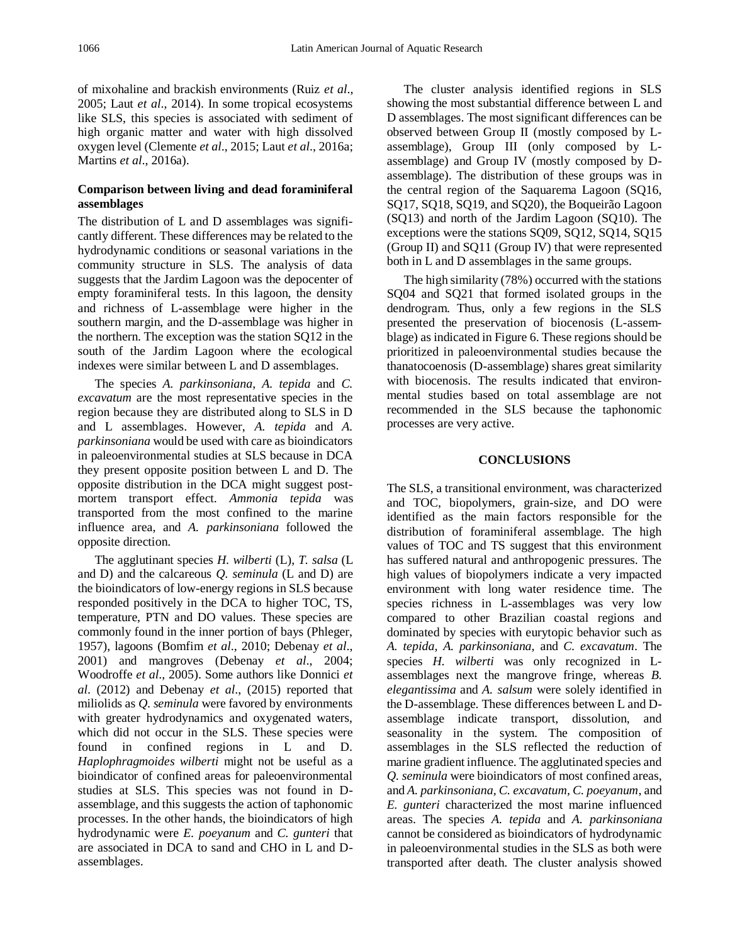of mixohaline and brackish environments (Ruiz *et al*., 2005; Laut *et al*., 2014). In some tropical ecosystems like SLS, this species is associated with sediment of high organic matter and water with high dissolved oxygen level (Clemente *et al*., 2015; Laut *et al*., 2016a; Martins *et al*., 2016a).

## **Comparison between living and dead foraminiferal assemblages**

The distribution of L and D assemblages was significantly different. These differences may be related to the hydrodynamic conditions or seasonal variations in the community structure in SLS. The analysis of data suggests that the Jardim Lagoon was the depocenter of empty foraminiferal tests. In this lagoon, the density and richness of L-assemblage were higher in the southern margin, and the D-assemblage was higher in the northern. The exception was the station SQ12 in the south of the Jardim Lagoon where the ecological indexes were similar between L and D assemblages.

The species *A. parkinsoniana, A. tepida* and *C. excavatum* are the most representative species in the region because they are distributed along to SLS in D and L assemblages. However, *A. tepida* and *A. parkinsoniana* would be used with care as bioindicators in paleoenvironmental studies at SLS because in DCA they present opposite position between L and D. The opposite distribution in the DCA might suggest postmortem transport effect. *Ammonia tepida* was transported from the most confined to the marine influence area, and *A. parkinsoniana* followed the opposite direction.

The agglutinant species *H. wilberti* (L), *T. salsa* (L and D) and the calcareous *Q. seminula* (L and D) are the bioindicators of low-energy regions in SLS because responded positively in the DCA to higher TOC, TS, temperature, PTN and DO values. These species are commonly found in the inner portion of bays (Phleger, 1957), lagoons (Bomfim *et al*., 2010; Debenay *et al*., 2001) and mangroves (Debenay *et al*., 2004; Woodroffe *et al*., 2005). Some authors like Donnici *et al*. (2012) and Debenay *et al*., (2015) reported that miliolids as *Q. seminula* were favored by environments with greater hydrodynamics and oxygenated waters, which did not occur in the SLS. These species were found in confined regions in L and D. *Haplophragmoides wilberti* might not be useful as a bioindicator of confined areas for paleoenvironmental studies at SLS. This species was not found in Dassemblage, and this suggests the action of taphonomic processes. In the other hands, the bioindicators of high hydrodynamic were *E. poeyanum* and *C. gunteri* that are associated in DCA to sand and CHO in L and Dassemblages.

The cluster analysis identified regions in SLS showing the most substantial difference between L and D assemblages. The most significant differences can be observed between Group II (mostly composed by Lassemblage), Group III (only composed by Lassemblage) and Group IV (mostly composed by Dassemblage). The distribution of these groups was in the central region of the Saquarema Lagoon (SQ16, SQ17, SQ18, SQ19, and SQ20), the Boqueirão Lagoon (SQ13) and north of the Jardim Lagoon (SQ10). The exceptions were the stations SQ09, SQ12, SQ14, SQ15 (Group II) and SQ11 (Group IV) that were represented both in L and D assemblages in the same groups.

The high similarity (78%) occurred with the stations SQ04 and SQ21 that formed isolated groups in the dendrogram. Thus, only a few regions in the SLS presented the preservation of biocenosis (L-assemblage) as indicated in Figure 6. These regions should be prioritized in paleoenvironmental studies because the thanatocoenosis (D-assemblage) shares great similarity with biocenosis. The results indicated that environmental studies based on total assemblage are not recommended in the SLS because the taphonomic processes are very active.

## **CONCLUSIONS**

The SLS, a transitional environment, was characterized and TOC, biopolymers, grain-size, and DO were identified as the main factors responsible for the distribution of foraminiferal assemblage. The high values of TOC and TS suggest that this environment has suffered natural and anthropogenic pressures. The high values of biopolymers indicate a very impacted environment with long water residence time. The species richness in L-assemblages was very low compared to other Brazilian coastal regions and dominated by species with eurytopic behavior such as *A. tepida, A. parkinsoniana,* and *C. excavatum*. The species *H. wilberti* was only recognized in Lassemblages next the mangrove fringe, whereas *B. elegantissima* and *A. salsum* were solely identified in the D-assemblage. These differences between L and Dassemblage indicate transport, dissolution, and seasonality in the system. The composition of assemblages in the SLS reflected the reduction of marine gradient influence. The agglutinated species and *Q. seminula* were bioindicators of most confined areas, and *A. parkinsoniana, C. excavatum, C. poeyanum*, and *E. gunteri* characterized the most marine influenced areas. The species *A. tepida* and *A. parkinsoniana* cannot be considered as bioindicators of hydrodynamic in paleoenvironmental studies in the SLS as both were transported after death. The cluster analysis showed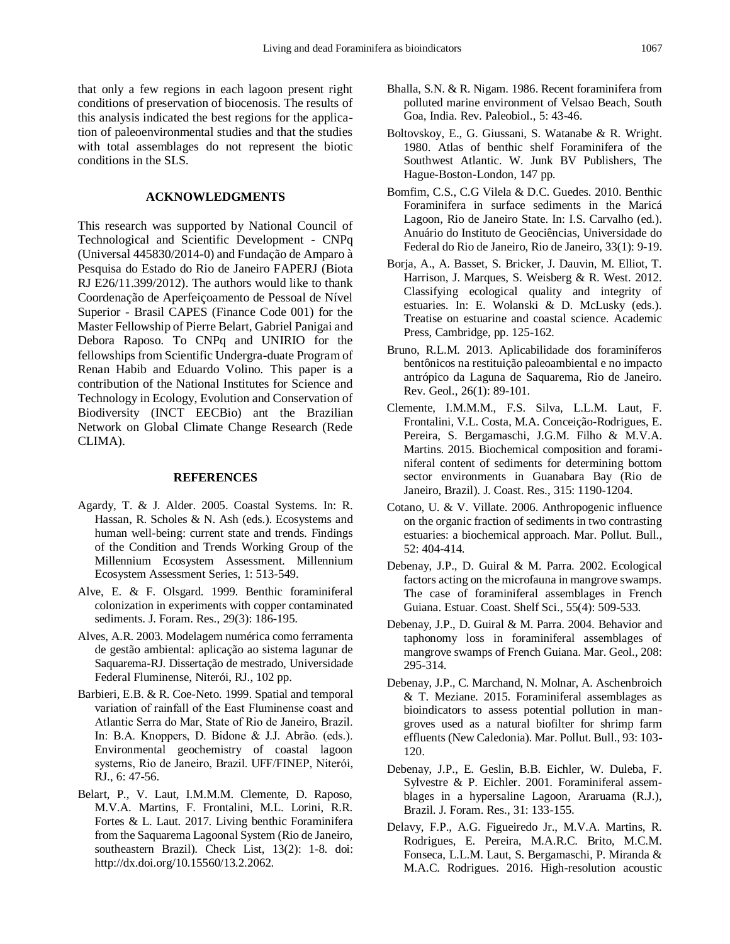that only a few regions in each lagoon present right conditions of preservation of biocenosis. The results of this analysis indicated the best regions for the application of paleoenvironmental studies and that the studies with total assemblages do not represent the biotic conditions in the SLS.

## **ACKNOWLEDGMENTS**

This research was supported by National Council of Technological and Scientific Development - CNPq (Universal 445830/2014-0) and Fundação de Amparo à Pesquisa do Estado do Rio de Janeiro FAPERJ (Biota RJ E26/11.399/2012). The authors would like to thank Coordenação de Aperfeiçoamento de Pessoal de Nível Superior - Brasil CAPES (Finance Code 001) for the Master Fellowship of Pierre Belart, Gabriel Panigai and Debora Raposo. To CNPq and UNIRIO for the fellowships from Scientific Undergra-duate Program of Renan Habib and Eduardo Volino. This paper is a contribution of the National Institutes for Science and Technology in Ecology, Evolution and Conservation of Biodiversity (INCT EECBio) ant the Brazilian Network on Global Climate Change Research (Rede CLIMA).

## **REFERENCES**

- Agardy, T. & J. Alder. 2005. Coastal Systems. In: R. Hassan, R. Scholes & N. Ash (eds.). Ecosystems and human well-being: current state and trends. Findings of the Condition and Trends Working Group of the Millennium Ecosystem Assessment. Millennium Ecosystem Assessment Series, 1: 513-549.
- Alve, E. & F. Olsgard. 1999. Benthic foraminiferal colonization in experiments with copper contaminated sediments. J. Foram. Res., 29(3): 186-195.
- Alves, A.R. 2003. Modelagem numérica como ferramenta de gestão ambiental: aplicação ao sistema lagunar de Saquarema-RJ. Dissertação de mestrado, Universidade Federal Fluminense, Niterói, RJ., 102 pp.
- Barbieri, E.B. & R. Coe-Neto. 1999. Spatial and temporal variation of rainfall of the East Fluminense coast and Atlantic Serra do Mar, State of Rio de Janeiro, Brazil. In: B.A. Knoppers, D. Bidone & J.J. Abrão. (eds.). Environmental geochemistry of coastal lagoon systems, Rio de Janeiro, Brazil. UFF/FINEP, Niterói, RJ., 6: 47-56.
- Belart, P., V. Laut, I.M.M.M. Clemente, D. Raposo, M.V.A. Martins, F. Frontalini, M.L. Lorini, R.R. Fortes & L. Laut. 2017. Living benthic Foraminifera from the Saquarema Lagoonal System (Rio de Janeiro, southeastern Brazil). Check List, 13(2): 1-8. doi: http://dx.doi.org/10.15560/13.2.2062.
- Bhalla, S.N. & R. Nigam. 1986. Recent foraminifera from polluted marine environment of Velsao Beach, South Goa, India. Rev. Paleobiol., 5: 43-46.
- Boltovskoy, E., G. Giussani, S. Watanabe & R. Wright. 1980. Atlas of benthic shelf Foraminifera of the Southwest Atlantic. W. Junk BV Publishers, The Hague-Boston-London, 147 pp.
- Bomfim, C.S., C.G Vilela & D.C. Guedes. 2010. Benthic Foraminifera in surface sediments in the Maricá Lagoon, Rio de Janeiro State. In: I.S. Carvalho (ed.). Anuário do Instituto de Geociências, Universidade do Federal do Rio de Janeiro, Rio de Janeiro, 33(1): 9-19.
- Borja, A., A. Basset, S. Bricker, J. Dauvin, M. Elliot, T. Harrison, J. Marques, S. Weisberg & R. West. 2012. Classifying ecological quality and integrity of estuaries. In: E. Wolanski & D. McLusky (eds.). Treatise on estuarine and coastal science. Academic Press, Cambridge, pp. 125-162.
- Bruno, R.L.M. 2013. Aplicabilidade dos foraminíferos bentônicos na restituição paleoambiental e no impacto antrópico da Laguna de Saquarema, Rio de Janeiro. Rev. Geol., 26(1): 89-101.
- Clemente, I.M.M.M., F.S. Silva, L.L.M. Laut, F. Frontalini, V.L. Costa, M.A. Conceição-Rodrigues, E. Pereira, S. Bergamaschi, J.G.M. Filho & M.V.A. Martins. 2015. Biochemical composition and foraminiferal content of sediments for determining bottom sector environments in Guanabara Bay (Rio de Janeiro, Brazil). J. Coast. Res., 315: 1190-1204.
- Cotano, U. & V. Villate. 2006. Anthropogenic influence on the organic fraction of sediments in two contrasting estuaries: a biochemical approach. Mar. Pollut. Bull., 52: 404-414.
- Debenay, J.P., D. Guiral & M. Parra. 2002. Ecological factors acting on the microfauna in mangrove swamps. The case of foraminiferal assemblages in French Guiana. Estuar. Coast. Shelf Sci., 55(4): 509-533.
- Debenay, J.P., D. Guiral & M. Parra. 2004. Behavior and taphonomy loss in foraminiferal assemblages of mangrove swamps of French Guiana. Mar. Geol., 208: 295-314.
- Debenay, J.P., C. Marchand, N. Molnar, A. Aschenbroich & T. Meziane. 2015. Foraminiferal assemblages as bioindicators to assess potential pollution in mangroves used as a natural biofilter for shrimp farm effluents (New Caledonia). Mar. Pollut. Bull., 93: 103- 120.
- Debenay, J.P., E. Geslin, B.B. Eichler, W. Duleba, F. Sylvestre & P. Eichler. 2001. Foraminiferal assemblages in a hypersaline Lagoon, Araruama (R.J.), Brazil. J. Foram. Res., 31: 133-155.
- Delavy, F.P., A.G. Figueiredo Jr., M.V.A. Martins, R. Rodrigues, E. Pereira, M.A.R.C. Brito, M.C.M. Fonseca, L.L.M. Laut, S. Bergamaschi, P. Miranda & M.A.C. Rodrigues. 2016. High-resolution acoustic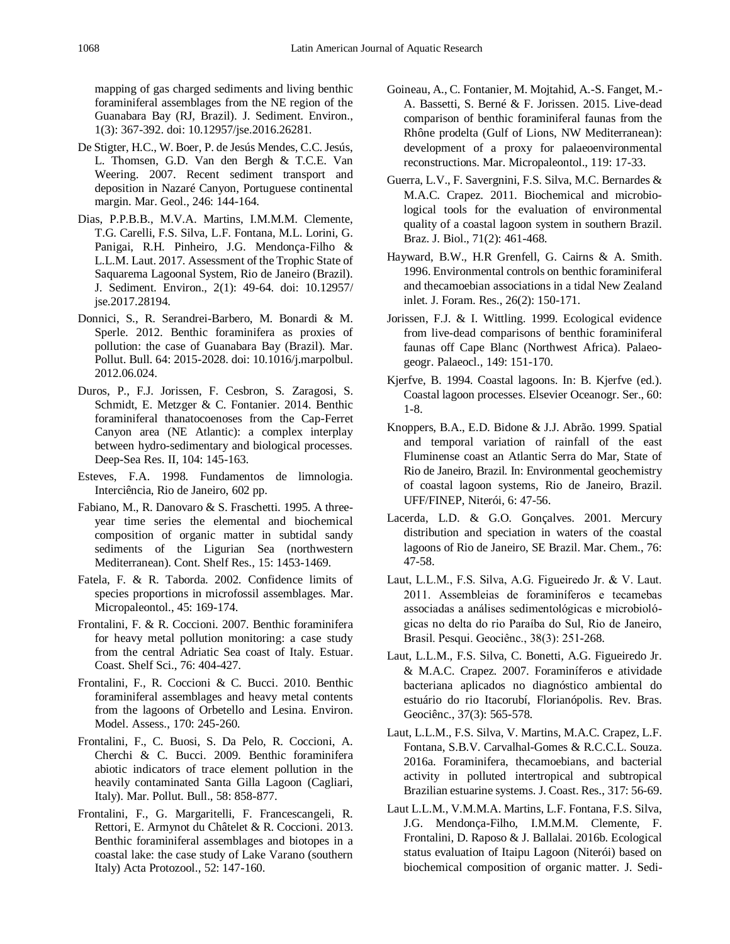mapping of gas charged sediments and living benthic foraminiferal assemblages from the NE region of the Guanabara Bay (RJ, Brazil). J. Sediment. Environ., 1(3): 367-392. doi: 10.12957/jse.2016.26281.

- De Stigter, H.C., W. Boer, P. de Jesús Mendes, C.C. Jesús, L. Thomsen, G.D. Van den Bergh & T.C.E. Van Weering. 2007. Recent sediment transport and deposition in Nazaré Canyon, Portuguese continental margin. Mar. Geol., 246: 144-164.
- Dias, P.P.B.B., M.V.A. Martins, I.M.M.M. Clemente, T.G. Carelli, F.S. Silva, L.F. Fontana, M.L. Lorini, G. Panigai, R.H. Pinheiro, J.G. Mendonça-Filho & L.L.M. Laut. 2017. Assessment of the Trophic State of Saquarema Lagoonal System, Rio de Janeiro (Brazil). J. Sediment. Environ., 2(1): 49-64. doi: 10.12957/ jse.2017.28194.
- Donnici, S., R. Serandrei-Barbero, M. Bonardi & M. Sperle. 2012. Benthic foraminifera as proxies of pollution: the case of Guanabara Bay (Brazil). Mar. Pollut. Bull. 64: 2015-2028. doi: 10.1016/j.marpolbul. 2012.06.024.
- Duros, P., F.J. Jorissen, F. Cesbron, S. Zaragosi, S. Schmidt, E. Metzger & C. Fontanier. 2014. Benthic foraminiferal thanatocoenoses from the Cap-Ferret Canyon area (NE Atlantic): a complex interplay between hydro-sedimentary and biological processes. Deep-Sea Res. II, 104: 145-163.
- Esteves, F.A. 1998. Fundamentos de limnologia. Interciência, Rio de Janeiro, 602 pp.
- Fabiano, M., R. Danovaro & S. Fraschetti. 1995. A threeyear time series the elemental and biochemical composition of organic matter in subtidal sandy sediments of the Ligurian Sea (northwestern Mediterranean). Cont. Shelf Res., 15: 1453-1469.
- Fatela, F. & R. Taborda. 2002. Confidence limits of species proportions in microfossil assemblages. Mar. Micropaleontol., 45: 169-174.
- Frontalini, F. & R. Coccioni. 2007. Benthic foraminifera for heavy metal pollution monitoring: a case study from the central Adriatic Sea coast of Italy. Estuar. Coast. Shelf Sci., 76: 404-427.
- Frontalini, F., R. Coccioni & C. Bucci. 2010. Benthic foraminiferal assemblages and heavy metal contents from the lagoons of Orbetello and Lesina. Environ. Model. Assess., 170: 245-260.
- Frontalini, F., C. Buosi, S. Da Pelo, R. Coccioni, A. Cherchi & C. Bucci. 2009. Benthic foraminifera abiotic indicators of trace element pollution in the heavily contaminated Santa Gilla Lagoon (Cagliari, Italy). Mar. Pollut. Bull., 58: 858-877.
- Frontalini, F., G. Margaritelli, F. Francescangeli, R. Rettori, E. Armynot du Châtelet & R. Coccioni. 2013. Benthic foraminiferal assemblages and biotopes in a coastal lake: the case study of Lake Varano (southern Italy) Acta Protozool., 52: 147-160.
- Goineau, A., C. Fontanier, M. Mojtahid, A.-S. Fanget, M.- A. Bassetti, S. Berné & F. Jorissen. 2015. Live-dead comparison of benthic foraminiferal faunas from the Rhône prodelta (Gulf of Lions, NW Mediterranean): development of a proxy for palaeoenvironmental reconstructions. Mar. Micropaleontol., 119: 17-33.
- Guerra, L.V., F. Savergnini, F.S. Silva, M.C. Bernardes & M.A.C. Crapez. 2011. Biochemical and microbiological tools for the evaluation of environmental quality of a coastal lagoon system in southern Brazil. Braz. J. Biol., 71(2): 461-468.
- Hayward, B.W., H.R Grenfell, G. Cairns & A. Smith. 1996. Environmental controls on benthic foraminiferal and thecamoebian associations in a tidal New Zealand inlet. J. Foram. Res., 26(2): 150-171.
- Jorissen, F.J. & I. Wittling. 1999. Ecological evidence from live-dead comparisons of benthic foraminiferal faunas off Cape Blanc (Northwest Africa). Palaeogeogr. Palaeocl., 149: 151-170.
- Kjerfve, B. 1994. Coastal lagoons. In: B. Kjerfve (ed.). Coastal lagoon processes. Elsevier Oceanogr. Ser., 60: 1-8.
- Knoppers, B.A., E.D. Bidone & J.J. Abrão. 1999. Spatial and temporal variation of rainfall of the east Fluminense coast an Atlantic Serra do Mar, State of Rio de Janeiro, Brazil. In: Environmental geochemistry of coastal lagoon systems, Rio de Janeiro, Brazil. UFF/FINEP, Niterói, 6: 47-56.
- Lacerda, L.D. & G.O. Gonçalves. 2001. Mercury distribution and speciation in waters of the coastal lagoons of Rio de Janeiro, SE Brazil. Mar. Chem., 76: 47-58.
- Laut, L.L.M., F.S. Silva, A.G. Figueiredo Jr. & V. Laut. 2011. Assembleias de foraminíferos e tecamebas associadas a análises sedimentológicas e microbioló gicas no delta do rio Paraíba do Sul, Rio de Janeiro, Brasil. Pesqui. Geociênc., 38(3): 251-268.
- Laut, L.L.M., F.S. Silva, C. Bonetti, A.G. Figueiredo Jr. & M.A.C. Crapez. 2007. Foraminíferos e atividade bacteriana aplicados no diagnóstico ambiental do estuário do rio Itacorubí, Florianópolis. Rev. Bras. Geociênc., 37(3): 565-578.
- Laut, L.L.M., F.S. Silva, V. Martins, M.A.C. Crapez, L.F. Fontana, S.B.V. Carvalhal-Gomes & R.C.C.L. Souza. 2016a. Foraminifera, thecamoebians, and bacterial activity in polluted intertropical and subtropical Brazilian estuarine systems. J. Coast. Res., 317: 56-69.
- Laut L.L.M., V.M.M.A. Martins, L.F. Fontana, F.S. Silva, J.G. Mendonça-Filho, I.M.M.M. Clemente, F. Frontalini, D. Raposo & J. Ballalai. 2016b. Ecological status evaluation of Itaipu Lagoon (Niterói) based on biochemical composition of organic matter. J. Sedi-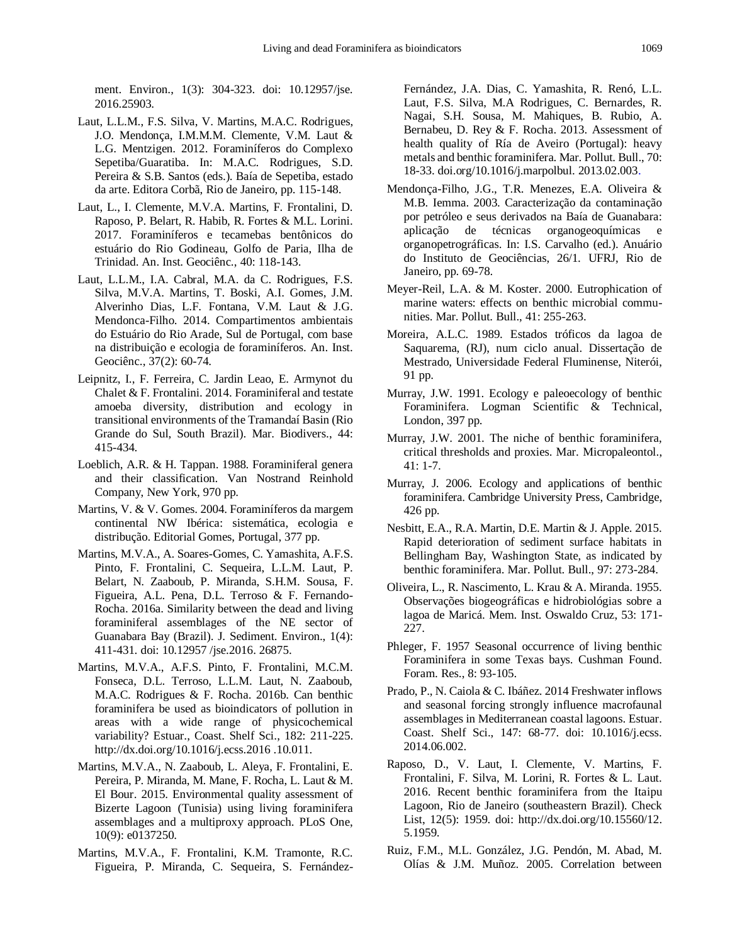ment. Environ., 1(3): 304-323. doi: 10.12957/jse. 2016.25903.

- Laut, L.L.M., F.S. Silva, V. Martins, M.A.C. Rodrigues, J.O. Mendonça, I.M.M.M. Clemente, V.M. Laut & L.G. Mentzigen. 2012. Foraminíferos do Complexo Sepetiba/Guaratiba. In: M.A.C. Rodrigues, S.D. Pereira & S.B. Santos (eds.). Baía de Sepetiba, estado da arte. Editora Corbã, Rio de Janeiro, pp. 115-148.
- Laut, L., I. Clemente, M.V.A. Martins, F. Frontalini, D. Raposo, P. Belart, R. Habib, R. Fortes & M.L. Lorini. 2017. Foraminíferos e tecamebas bentônicos do estuário do Rio Godineau, Golfo de Paria, Ilha de Trinidad. An. Inst. Geociênc., 40: 118-143.
- Laut, L.L.M., I.A. Cabral, M.A. da C. Rodrigues, F.S. Silva, M.V.A. Martins, T. Boski, A.I. Gomes, J.M. Alverinho Dias, L.F. Fontana, V.M. Laut & J.G. Mendonca-Filho. 2014. Compartimentos ambientais do Estuário do Rio Arade, Sul de Portugal, com base na distribuição e ecologia de foraminíferos. An. Inst. Geociênc., 37(2): 60-74.
- Leipnitz, I., F. Ferreira, C. Jardin Leao, E. Armynot du Chalet & F. Frontalini. 2014. Foraminiferal and testate amoeba diversity, distribution and ecology in transitional environments of the Tramandaí Basin (Rio Grande do Sul, South Brazil). Mar. Biodivers., 44: 415-434.
- Loeblich, A.R. & H. Tappan. 1988. Foraminiferal genera and their classification. Van Nostrand Reinhold Company, New York, 970 pp.
- Martins, V. & V. Gomes. 2004. Foraminíferos da margem continental NW Ibérica: sistemática, ecologia e distribução. Editorial Gomes, Portugal, 377 pp.
- Martins, M.V.A., A. Soares-Gomes, C. Yamashita, A.F.S. Pinto, F. Frontalini, C. Sequeira, L.L.M. Laut, P. Belart, N. Zaaboub, P. Miranda, S.H.M. Sousa, F. Figueira, A.L. Pena, D.L. Terroso & F. Fernando-Rocha. 2016a. Similarity between the dead and living foraminiferal assemblages of the NE sector of Guanabara Bay (Brazil). J. Sediment. Environ., 1(4): 411-431. doi: 10.12957 /jse.2016. 26875.
- Martins, M.V.A., A.F.S. Pinto, F. Frontalini, M.C.M. Fonseca, D.L. Terroso, L.L.M. Laut, N. Zaaboub, M.A.C. Rodrigues & F. Rocha. 2016b. Can benthic foraminifera be used as bioindicators of pollution in areas with a wide range of physicochemical variability? Estuar., Coast. Shelf Sci., 182: 211-225. <http://dx.doi.org/10.1016/j.ecss.2016> .10.011.
- Martins, M.V.A., N. Zaaboub, L. Aleya, F. Frontalini, E. Pereira, P. Miranda, M. Mane, F. Rocha, L. Laut & M. El Bour. 2015. Environmental quality assessment of Bizerte Lagoon (Tunisia) using living foraminifera assemblages and a multiproxy approach. PLoS One, 10(9): e0137250.
- Martins, M.V.A., F. Frontalini, K.M. Tramonte, R.C. Figueira, P. Miranda, C. Sequeira, S. Fernández-

Fernández, J.A. Dias, C. Yamashita, R. Renó, L.L. Laut, F.S. Silva, M.A Rodrigues, C. Bernardes, R. Nagai, S.H. Sousa, M. Mahiques, B. Rubio, A. Bernabeu, D. Rey & F. Rocha. 2013. Assessment of health quality of Ría de Aveiro (Portugal): heavy metals and benthic foraminifera. Mar. Pollut. Bull., 70: 18-33. doi.org/10.1016/j.marpolbul. 2013.02.003.

- Mendonça-Filho, J.G., T.R. Menezes, E.A. Oliveira & M.B. Iemma. 2003. Caracterização da contaminação por petróleo e seus derivados na Baía de Guanabara: aplicação de técnicas organogeoquímicas e organopetrográficas. In: I.S. Carvalho (ed.). Anuário do Instituto de Geociências, 26/1. UFRJ, Rio de Janeiro, pp. 69-78.
- Meyer-Reil, L.A. & M. Koster. 2000. Eutrophication of marine waters: effects on benthic microbial communities. Mar. Pollut. Bull., 41: 255-263.
- Moreira, A.L.C. 1989. Estados tróficos da lagoa de Saquarema, (RJ), num ciclo anual. Dissertação de Mestrado, Universidade Federal Fluminense, Niterói, 91 pp.
- Murray, J.W. 1991. Ecology e paleoecology of benthic Foraminifera. Logman Scientific & Technical, London, 397 pp.
- Murray, J.W. 2001. The niche of benthic foraminifera, critical thresholds and proxies. Mar. Micropaleontol., 41: 1-7.
- Murray, J. 2006. Ecology and applications of benthic foraminifera. Cambridge University Press, Cambridge, 426 pp.
- Nesbitt, E.A., R.A. Martin, D.E. Martin & J. Apple. 2015. Rapid deterioration of sediment surface habitats in Bellingham Bay, Washington State, as indicated by benthic foraminifera. Mar. Pollut. Bull., 97: 273-284.
- Oliveira, L., R. Nascimento, L. Krau & A. Miranda. 1955. Observações biogeográficas e hidrobiológias sobre a lagoa de Maricá. Mem. Inst. Oswaldo Cruz, 53: 171- 227.
- Phleger, F. 1957 Seasonal occurrence of living benthic Foraminifera in some Texas bays. Cushman Found. Foram. Res., 8: 93-105.
- Prado, P., N. Caiola & C. Ibáñez. 2014 Freshwater inflows and seasonal forcing strongly influence macrofaunal assemblages in Mediterranean coastal lagoons. Estuar. Coast. Shelf Sci., 147: 68-77. doi: 10.1016/j.ecss. 2014.06.002.
- Raposo, D., V. Laut, I. Clemente, V. Martins, F. Frontalini, F. Silva, M. Lorini, R. Fortes & L. Laut. 2016. Recent benthic foraminifera from the Itaipu Lagoon, Rio de Janeiro (southeastern Brazil). Check List, 12(5): 1959. doi: [http://dx.doi.org/10.15560/12.](http://dx.doi.org/10.15560/12) 5.1959.
- Ruiz, F.M., M.L. González, J.G. Pendón, M. Abad, M. Olías & J.M. Muñoz. 2005. Correlation between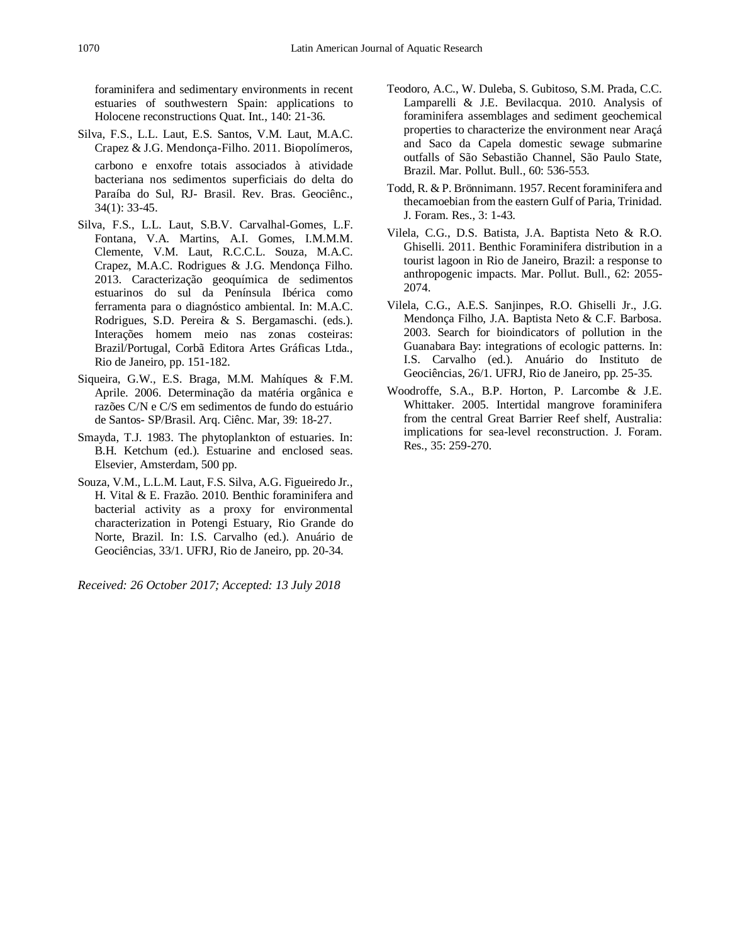foraminifera and sedimentary environments in recent estuaries of southwestern Spain: applications to Holocene reconstructions Quat. Int., 140: 21-36.

- Silva, F.S., L.L. Laut, E.S. Santos, V.M. Laut, M.A.C. Crapez & J.G. Mendonça-Filho. 2011. Biopolímeros, carbono e enxofre totais associados à atividade bacteriana nos sedimentos superficiais do delta do Paraíba do Sul, RJ- Brasil. Rev. Bras. Geociênc., 34(1): 33-45.
- Silva, F.S., L.L. Laut, S.B.V. Carvalhal-Gomes, L.F. Fontana, V.A. Martins, A.I. Gomes, I.M.M.M. Clemente, V.M. Laut, R.C.C.L. Souza, M.A.C. Crapez, M.A.C. Rodrigues & J.G. Mendonça Filho. 2013. Caracterização geoquímica de sedimentos estuarinos do sul da Península Ibérica como ferramenta para o diagnóstico ambiental. In: M.A.C. Rodrigues, S.D. Pereira & S. Bergamaschi. (eds.). Interações homem meio nas zonas costeiras: Brazil/Portugal, Corbã Editora Artes Gráficas Ltda., Rio de Janeiro, pp. 151-182.
- Siqueira, G.W., E.S. Braga, M.M. Mahíques & F.M. Aprile. 2006. Determinação da matéria orgânica e razões C/N e C/S em sedimentos de fundo do estuário de Santos- SP/Brasil. Arq. Ciênc. Mar, 39: 18-27.
- Smayda, T.J. 1983. The phytoplankton of estuaries. In: B.H. Ketchum (ed.). Estuarine and enclosed seas. Elsevier, Amsterdam, 500 pp.
- Souza, V.M., L.L.M. Laut, F.S. Silva, A.G. Figueiredo Jr., H. Vital & E. Frazão. 2010. Benthic foraminifera and bacterial activity as a proxy for environmental characterization in Potengi Estuary, Rio Grande do Norte, Brazil. In: I.S. Carvalho (ed.). Anuário de Geociências, 33/1. UFRJ, Rio de Janeiro, pp. 20-34.

*Received: 26 October 2017; Accepted: 13 July 2018*

- Teodoro, A.C., W. Duleba, S. Gubitoso, S.M. Prada, C.C. Lamparelli & J.E. Bevilacqua. 2010. Analysis of foraminifera assemblages and sediment geochemical properties to characterize the environment near Araçá and Saco da Capela domestic sewage submarine outfalls of São Sebastião Channel, São Paulo State, Brazil. Mar. Pollut. Bull., 60: 536-553.
- Todd, R. & P. Brönnimann. 1957. Recent foraminifera and thecamoebian from the eastern Gulf of Paria, Trinidad. J. Foram. Res., 3: 1-43.
- Vilela, C.G., D.S. Batista, J.A. Baptista Neto & R.O. Ghiselli. 2011. Benthic Foraminifera distribution in a tourist lagoon in Rio de Janeiro, Brazil: a response to anthropogenic impacts. Mar. Pollut. Bull., 62: 2055- 2074.
- Vilela, C.G., A.E.S. Sanjinpes, R.O. Ghiselli Jr., J.G. Mendonça Filho, J.A. Baptista Neto & C.F. Barbosa. 2003. Search for bioindicators of pollution in the Guanabara Bay: integrations of ecologic patterns. In: I.S. Carvalho (ed.). Anuário do Instituto de Geociências, 26/1. UFRJ, Rio de Janeiro, pp. 25-35.
- Woodroffe, S.A., B.P. Horton, P. Larcombe & J.E. Whittaker. 2005. Intertidal mangrove foraminifera from the central Great Barrier Reef shelf, Australia: implications for sea-level reconstruction. J. Foram. Res., 35: 259-270.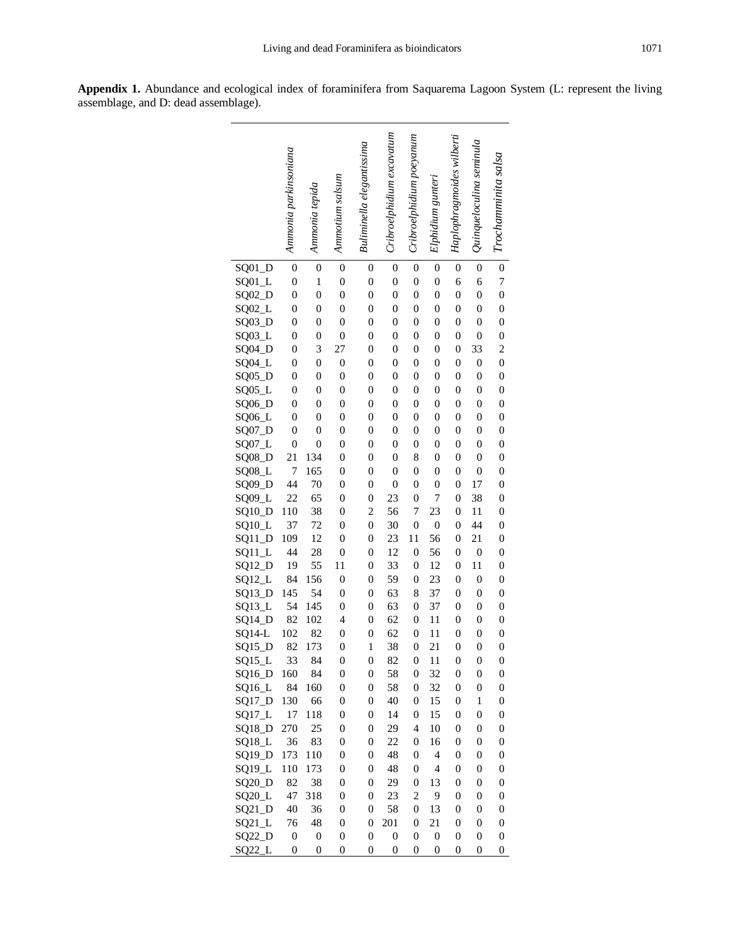**Appendix 1.** Abundance and ecological index of foraminifera from Saquarema Lagoon System (L: represent the living assemblage, and D: dead assemblage).

|                        | Ammonia parkinsoniana | Ammonia tepida   | Ammotuum salsum          | Buliminella elegantissima | Cribroelphidium excavatum | Cribroelphidium poeyanum | Elphidium gunteri | Haplophragmoides wilberti | Quinqueloculina seminula | Trochamminita salsa |
|------------------------|-----------------------|------------------|--------------------------|---------------------------|---------------------------|--------------------------|-------------------|---------------------------|--------------------------|---------------------|
| $SQ01_D$               | $\overline{0}$        | $\overline{0}$   | $\overline{0}$           | $\boldsymbol{0}$          | $\boldsymbol{0}$          | $\boldsymbol{0}$         | $\boldsymbol{0}$  | $\overline{0}$            | $\boldsymbol{0}$         | $\overline{0}$      |
| $SQ01_L$               | $\boldsymbol{0}$      | $\mathbf{1}$     | $\boldsymbol{0}$         | $\boldsymbol{0}$          | $\boldsymbol{0}$          | $\boldsymbol{0}$         | $\boldsymbol{0}$  | 6                         | 6                        | $\overline{7}$      |
| $SQ02_D$               | $\boldsymbol{0}$      | $\overline{0}$   | $\overline{0}$           | $\overline{0}$            | $\overline{0}$            | $\overline{0}$           | $\overline{0}$    | $\overline{0}$            | $\overline{0}$           | $\overline{0}$      |
| $SQ02_L$               | $\overline{0}$        | $\overline{0}$   | $\overline{0}$           | $\overline{0}$            | $\boldsymbol{0}$          | $\overline{0}$           | $\boldsymbol{0}$  | $\boldsymbol{0}$          | $\overline{0}$           | $\overline{0}$      |
| $SQ03_D$               | $\boldsymbol{0}$      | $\overline{0}$   | $\overline{0}$           | $\overline{0}$            | $\boldsymbol{0}$          | $\overline{0}$           | $\boldsymbol{0}$  | $\boldsymbol{0}$          | $\overline{0}$           | $\overline{0}$      |
|                        | $\boldsymbol{0}$      | $\overline{0}$   | $\mathbf{0}$             | $\overline{0}$            | $\boldsymbol{0}$          | $\boldsymbol{0}$         | $\boldsymbol{0}$  | $\boldsymbol{0}$          | $\overline{0}$           | $\overline{0}$      |
| $SQ03_L$               |                       |                  |                          |                           |                           |                          |                   |                           |                          |                     |
| $SQ04_D$               | $\boldsymbol{0}$      | 3                | 27                       | $\boldsymbol{0}$          | $\boldsymbol{0}$          | $\boldsymbol{0}$         | $\boldsymbol{0}$  | $\boldsymbol{0}$          | 33                       | $\overline{c}$      |
| $SQ04_L$               | $\boldsymbol{0}$      | $\overline{0}$   | $\mathbf{0}$             | $\overline{0}$            | $\boldsymbol{0}$          | $\overline{0}$           | $\boldsymbol{0}$  | $\boldsymbol{0}$          | $\boldsymbol{0}$         | $\overline{0}$      |
| $SQ05_D$               | $\boldsymbol{0}$      | $\overline{0}$   | $\mathbf{0}$             | $\boldsymbol{0}$          | $\boldsymbol{0}$          | $\boldsymbol{0}$         | $\boldsymbol{0}$  | $\boldsymbol{0}$          | $\boldsymbol{0}$         | $\boldsymbol{0}$    |
| $SQ05_L$               | $\boldsymbol{0}$      | $\overline{0}$   | $\boldsymbol{0}$         | $\boldsymbol{0}$          | $\boldsymbol{0}$          | $\boldsymbol{0}$         | $\boldsymbol{0}$  | $\boldsymbol{0}$          | $\overline{0}$           | $\boldsymbol{0}$    |
| SQ06_D                 | $\boldsymbol{0}$      | $\overline{0}$   | $\overline{0}$           | $\boldsymbol{0}$          | $\boldsymbol{0}$          | $\boldsymbol{0}$         | $\boldsymbol{0}$  | $\boldsymbol{0}$          | $\overline{0}$           | $\overline{0}$      |
| $SQ06_L$               | $\boldsymbol{0}$      | $\overline{0}$   | $\overline{0}$           | $\overline{0}$            | $\boldsymbol{0}$          | $\boldsymbol{0}$         | $\overline{0}$    | $\boldsymbol{0}$          | $\overline{0}$           | $\overline{0}$      |
| $SQ07_D$               | $\boldsymbol{0}$      | $\overline{0}$   | $\mathbf{0}$             | $\overline{0}$            | $\boldsymbol{0}$          | $\boldsymbol{0}$         | $\boldsymbol{0}$  | $\boldsymbol{0}$          | $\overline{0}$           | $\overline{0}$      |
| $SQ07_L$               | $\boldsymbol{0}$      | $\overline{0}$   | $\mathbf{0}$             | $\overline{0}$            | $\boldsymbol{0}$          | $\boldsymbol{0}$         | $\boldsymbol{0}$  | $\boldsymbol{0}$          | $\overline{0}$           | $\overline{0}$      |
| SQ08_D                 | 21                    | 134              | $\overline{0}$           | $\boldsymbol{0}$          | $\boldsymbol{0}$          | 8                        | $\boldsymbol{0}$  | $\boldsymbol{0}$          | $\overline{0}$           | $\overline{0}$      |
| SQ08_L                 | $\overline{7}$        | 165              | $\mathbf{0}$             | $\boldsymbol{0}$          | $\boldsymbol{0}$          | $\boldsymbol{0}$         | $\boldsymbol{0}$  | $\boldsymbol{0}$          | $\overline{0}$           | $\overline{0}$      |
| SQ09_D                 | 44                    | 70               | $\mathbf{0}$             | $\boldsymbol{0}$          | $\boldsymbol{0}$          | $\boldsymbol{0}$         | $\boldsymbol{0}$  | $\boldsymbol{0}$          | 17                       | $\overline{0}$      |
| $SQ09_L$               | 22                    | 65               | $\boldsymbol{0}$         | $\boldsymbol{0}$          | 23                        | $\boldsymbol{0}$         | 7                 | $\boldsymbol{0}$          | 38                       | $\boldsymbol{0}$    |
| SQ10_D                 | 110                   | 38               | $\boldsymbol{0}$         | $\overline{\mathbf{c}}$   | 56                        | $\overline{7}$           | 23                | $\boldsymbol{0}$          | 11                       | $\boldsymbol{0}$    |
| $SQL0_L$               | 37                    | 72               | $\overline{0}$           | $\overline{0}$            | 30                        | $\overline{0}$           | $\boldsymbol{0}$  | $\boldsymbol{0}$          | 44                       | $\boldsymbol{0}$    |
| $SQL1_D$               | 109                   | 12               | $\mathbf{0}$             | $\overline{0}$            | 23                        | 11                       | 56                | $\boldsymbol{0}$          | $\overline{21}$          | $\boldsymbol{0}$    |
| $SQL1_L$               | 44                    | 28               | $\boldsymbol{0}$         | $\overline{0}$            | 12                        | $\overline{0}$           | 56                | $\overline{0}$            | $\boldsymbol{0}$         | $\overline{0}$      |
| $SQ12_D$               | 19                    | 55               | 11                       | $\boldsymbol{0}$          | 33                        | $\boldsymbol{0}$         | 12                | $\boldsymbol{0}$          | 11                       | $\overline{0}$      |
| $SQL2_L$               | 84                    | 156              | $\mathbf{0}$             | $\boldsymbol{0}$          | 59                        | $\boldsymbol{0}$         | 23                | $\boldsymbol{0}$          | $\boldsymbol{0}$         | $\overline{0}$      |
| $SQ13_D$               | 145                   | 54               | $\overline{0}$           | $\boldsymbol{0}$          | 63                        | 8                        | 37                | $\boldsymbol{0}$          | $\overline{0}$           | $\overline{0}$      |
| $SQL13$ <sub>_L</sub>  | 54                    | 145              | $\mathbf{0}$             | $\boldsymbol{0}$          | 63                        | $\boldsymbol{0}$         | 37                | $\boldsymbol{0}$          | $\overline{0}$           | $\overline{0}$      |
| $SQ14_D$               | 82                    | 102              | $\overline{\mathcal{L}}$ | $\boldsymbol{0}$          | 62                        | $\boldsymbol{0}$         | 11                | $\boldsymbol{0}$          | $\boldsymbol{0}$         | $\boldsymbol{0}$    |
| $SQ14-L$               | 102                   | 82               | $\boldsymbol{0}$         | $\boldsymbol{0}$          | 62                        | $\boldsymbol{0}$         | 11                | $\boldsymbol{0}$          | $\boldsymbol{0}$         | $\boldsymbol{0}$    |
| SQ15<br>$\overline{D}$ | 82                    | 173              | $\overline{0}$           | $\mathbf{1}$              | 38                        | $\boldsymbol{0}$         | 21                | $\boldsymbol{0}$          | $\boldsymbol{0}$         | $\boldsymbol{0}$    |
| SQ15_L                 | 33                    | 84               | 0                        | 0                         | 82                        | 0                        | 11                | $\boldsymbol{0}$          | $\boldsymbol{0}$         | 0                   |
| SQ16_D                 | 160                   | 84               | $\boldsymbol{0}$         | $\boldsymbol{0}$          | 58                        | $\boldsymbol{0}$         | 32                | $\boldsymbol{0}$          | 0                        | $\boldsymbol{0}$    |
| $SQL6_L$               | 84                    | 160              | $\boldsymbol{0}$         | $\boldsymbol{0}$          | 58                        | $\boldsymbol{0}$         | 32                | $\boldsymbol{0}$          | 0                        | $\boldsymbol{0}$    |
| $SQ17_D$               | 130                   | 66               | $\boldsymbol{0}$         | $\boldsymbol{0}$          | 40                        | $\boldsymbol{0}$         | 15                | $\boldsymbol{0}$          | $\mathbf{1}$             | $\boldsymbol{0}$    |
| $SQ17$ _L              | 17                    | 118              | $\boldsymbol{0}$         | $\boldsymbol{0}$          | 14                        | $\boldsymbol{0}$         | 15                | $\boldsymbol{0}$          | 0                        | $\boldsymbol{0}$    |
| SQ18_D                 | 270                   | 25               | $\boldsymbol{0}$         | $\boldsymbol{0}$          | 29                        | 4                        | 10                | $\boldsymbol{0}$          | $\boldsymbol{0}$         | $\boldsymbol{0}$    |
| $SQL8_L$               | 36                    | 83               | $\boldsymbol{0}$         | $\boldsymbol{0}$          | 22                        | $\boldsymbol{0}$         | 16                | $\boldsymbol{0}$          | 0                        | $\boldsymbol{0}$    |
| $SQ19_D$               | 173                   | 110              | $\boldsymbol{0}$         | $\boldsymbol{0}$          | 48                        | $\boldsymbol{0}$         | 4                 | $\boldsymbol{0}$          | $\boldsymbol{0}$         | 0                   |
| $SQ19_L$               | 110                   | 173              | $\boldsymbol{0}$         | $\boldsymbol{0}$          | 48                        | $\boldsymbol{0}$         | $\overline{4}$    | $\boldsymbol{0}$          | $\boldsymbol{0}$         | $\boldsymbol{0}$    |
| SQ20_D                 | 82                    | 38               | $\boldsymbol{0}$         | $\boldsymbol{0}$          | 29                        | $\boldsymbol{0}$         | 13                | $\boldsymbol{0}$          | 0                        | 0                   |
| SQ20_L                 | 47                    | 318              | $\boldsymbol{0}$         | $\boldsymbol{0}$          | 23                        | $\overline{c}$           | 9                 | $\boldsymbol{0}$          | 0                        | 0                   |
| $SQ21_D$               | 40                    | 36               | $\boldsymbol{0}$         | $\boldsymbol{0}$          | 58                        | $\boldsymbol{0}$         | 13                | $\boldsymbol{0}$          | 0                        | $\boldsymbol{0}$    |
| $SQ21$ _L              | 76                    | 48               | $\boldsymbol{0}$         | $\boldsymbol{0}$          | 201                       | $\boldsymbol{0}$         | 21                | $\boldsymbol{0}$          | 0                        | 0                   |
| SQ22_D                 | $\boldsymbol{0}$      | $\boldsymbol{0}$ | $\boldsymbol{0}$         | $\boldsymbol{0}$          | $\boldsymbol{0}$          | $\boldsymbol{0}$         | $\boldsymbol{0}$  | $\boldsymbol{0}$          | $\boldsymbol{0}$         | $\boldsymbol{0}$    |
| $SQ22$ _L              | 0                     | $\boldsymbol{0}$ | $\boldsymbol{0}$         | 0                         | $\boldsymbol{0}$          | 0                        | $\boldsymbol{0}$  | 0                         | $\boldsymbol{0}$         | $\boldsymbol{0}$    |